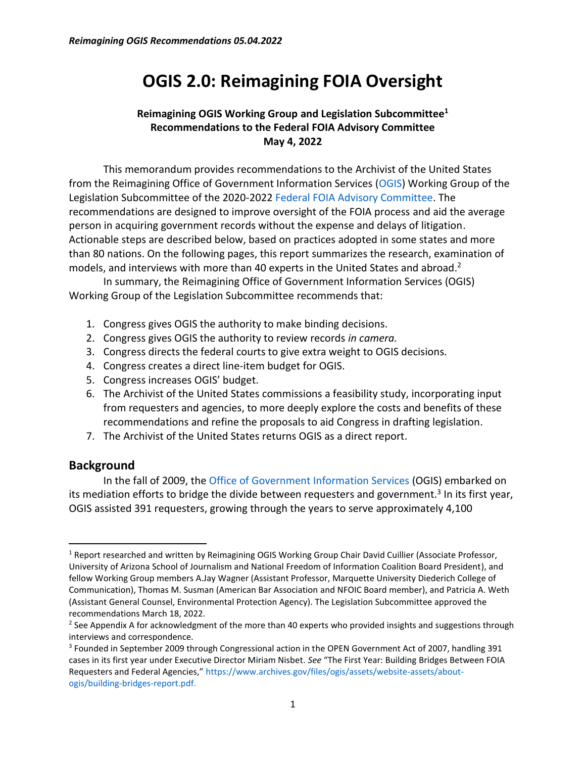# **OGIS 2.0: Reimagining FOIA Oversight**

#### **Reimagining OGIS Working Group and Legislation Subcommittee<sup>1</sup> Recommendations to the Federal FOIA Advisory Committee May 4, 2022**

This memorandum provides recommendations to the Archivist of the United States from the Reimagining Office of Government Information Services [\(OGIS\)](https://www.archives.gov/ogis/) Working Group of the Legislation Subcommittee of the 2020-202[2 Federal FOIA Advisory Committee.](https://www.archives.gov/ogis/foia-advisory-committee/2020-2022-term/subcommittees-legislation) The recommendations are designed to improve oversight of the FOIA process and aid the average person in acquiring government records without the expense and delays of litigation. Actionable steps are described below, based on practices adopted in some states and more than 80 nations. On the following pages, this report summarizes the research, examination of models, and interviews with more than 40 experts in the United States and abroad.<sup>2</sup>

In summary, the Reimagining Office of Government Information Services (OGIS) Working Group of the Legislation Subcommittee recommends that:

- 1. Congress gives OGIS the authority to make binding decisions.
- 2. Congress gives OGIS the authority to review records *in camera.*
- 3. Congress directs the federal courts to give extra weight to OGIS decisions.
- 4. Congress creates a direct line-item budget for OGIS.
- 5. Congress increases OGIS' budget.
- 6. The Archivist of the United States commissions a feasibility study, incorporating input from requesters and agencies, to more deeply explore the costs and benefits of these recommendations and refine the proposals to aid Congress in drafting legislation.
- 7. The Archivist of the United States returns OGIS as a direct report.

#### **Background**

In the fall of 2009, the [Office of Government Information Services](https://www.archives.gov/ogis/) (OGIS) embarked on its mediation efforts to bridge the divide between requesters and government.<sup>3</sup> In its first year, OGIS assisted 391 requesters, growing through the years to serve approximately 4,100

<sup>&</sup>lt;sup>1</sup> Report researched and written by Reimagining OGIS Working Group Chair David Cuillier (Associate Professor, University of Arizona School of Journalism and National Freedom of Information Coalition Board President), and fellow Working Group members A.Jay Wagner (Assistant Professor, Marquette University Diederich College of Communication), Thomas M. Susman (American Bar Association and NFOIC Board member), and Patricia A. Weth (Assistant General Counsel, Environmental Protection Agency). The Legislation Subcommittee approved the recommendations March 18, 2022.

<sup>&</sup>lt;sup>2</sup> See Appendix A for acknowledgment of the more than 40 experts who provided insights and suggestions through interviews and correspondence.

<sup>&</sup>lt;sup>3</sup> Founded in September 2009 through Congressional action in the OPEN Government Act of 2007, handling 391 cases in its first year under Executive Director Miriam Nisbet. *See* "The First Year: Building Bridges Between FOIA Requesters and Federal Agencies," [https://www.archives.gov/files/ogis/assets/website-assets/about](https://www.archives.gov/files/ogis/assets/website-assets/about-ogis/building-bridges-report.pdf)[ogis/building-bridges-report.pdf.](https://www.archives.gov/files/ogis/assets/website-assets/about-ogis/building-bridges-report.pdf)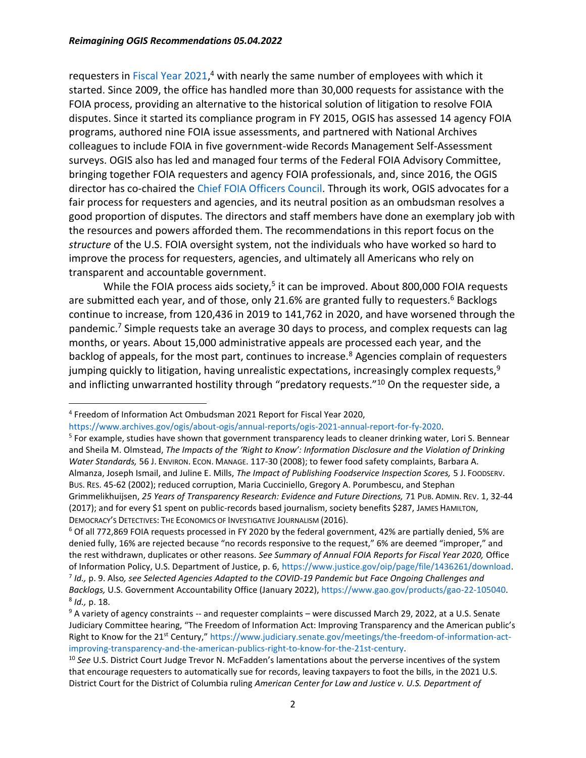requesters in [Fiscal Year 2021,](https://www.archives.gov/ogis/about-ogis/annual-reports/ogis-2021-annual-report-for-fy-2020)<sup>4</sup> with nearly the same number of employees with which it started. Since 2009, the office has handled more than 30,000 requests for assistance with the FOIA process, providing an alternative to the historical solution of litigation to resolve FOIA disputes. Since it started its compliance program in FY 2015, OGIS has assessed 14 agency FOIA programs, authored nine FOIA issue assessments, and partnered with National Archives colleagues to include FOIA in five government-wide Records Management Self-Assessment surveys. OGIS also has led and managed four terms of the Federal FOIA Advisory Committee, bringing together FOIA requesters and agency FOIA professionals, and, since 2016, the OGIS director has co-chaired the [Chief FOIA Officers Council.](https://www.archives.gov/ogis/about-ogis/chief-foia-officers-council) Through its work, OGIS advocates for a fair process for requesters and agencies, and its neutral position as an ombudsman resolves a good proportion of disputes. The directors and staff members have done an exemplary job with the resources and powers afforded them. The recommendations in this report focus on the *structure* of the U.S. FOIA oversight system, not the individuals who have worked so hard to improve the process for requesters, agencies, and ultimately all Americans who rely on transparent and accountable government.

While the FOIA process aids society,<sup>5</sup> it can be improved. About 800,000 FOIA requests are submitted each year, and of those, only 21.6% are granted fully to requesters.<sup>6</sup> Backlogs continue to increase, from 120,436 in 2019 to 141,762 in 2020, and have worsened through the pandemic.<sup>7</sup> Simple requests take an average 30 days to process, and complex requests can lag months, or years. About 15,000 administrative appeals are processed each year, and the backlog of appeals, for the most part, continues to increase.<sup>8</sup> Agencies complain of requesters jumping quickly to litigation, having unrealistic expectations, increasingly complex requests, $9$ and inflicting unwarranted hostility through "predatory requests."<sup>10</sup> On the requester side, a

[https://www.archives.gov/ogis/about-ogis/annual-reports/ogis-2021-annual-report-for-fy-2020.](https://www.archives.gov/ogis/about-ogis/annual-reports/ogis-2021-annual-report-for-fy-2020)

<sup>6</sup> Of all 772,869 FOIA requests processed in FY 2020 by the federal government, 42% are partially denied, 5% are denied fully, 16% are rejected because "no records responsive to the request," 6% are deemed "improper," and the rest withdrawn, duplicates or other reasons. *See Summary of Annual FOIA Reports for Fiscal Year 2020,* Office of Information Policy, U.S. Department of Justice, p. 6[, https://www.justice.gov/oip/page/file/1436261/download.](https://www.justice.gov/oip/page/file/1436261/download) 7 *Id.,* p. 9. Also*, see Selected Agencies Adapted to the COVID-19 Pandemic but Face Ongoing Challenges and* 

<sup>4</sup> Freedom of Information Act Ombudsman 2021 Report for Fiscal Year 2020,

<sup>&</sup>lt;sup>5</sup> For example, studies have shown that government transparency leads to cleaner drinking water, Lori S. Bennear and Sheila M. Olmstead, *The Impacts of the 'Right to Know': Information Disclosure and the Violation of Drinking Water Standards,* 56 J. ENVIRON. ECON. MANAGE. 117-30 (2008); to fewer food safety complaints, Barbara A. Almanza, Joseph Ismail, and Juline E. Mills, *The Impact of Publishing Foodservice Inspection Scores,* 5 J. FOODSERV. BUS. RES. 45-62 (2002); reduced corruption, Maria Cucciniello, Gregory A. Porumbescu, and Stephan Grimmelikhuijsen, *25 Years of Transparency Research: Evidence and Future Directions,* 71 PUB. ADMIN. REV. 1, 32-44 (2017); and for every \$1 spent on public-records based journalism, society benefits \$287, JAMES HAMILTON, DEMOCRACY'S DETECTIVES: THE ECONOMICS OF INVESTIGATIVE JOURNALISM (2016).

*Backlogs,* U.S. Government Accountability Office (January 2022), [https://www.gao.gov/products/gao-22-105040.](https://www.gao.gov/products/gao-22-105040) 8 *Id.,* p. 18.

<sup>&</sup>lt;sup>9</sup> A variety of agency constraints -- and requester complaints – were discussed March 29, 2022, at a U.S. Senate Judiciary Committee hearing, "The Freedom of Information Act: Improving Transparency and the American public's Right to Know for the 21<sup>st</sup> Century," [https://www.judiciary.senate.gov/meetings/the-freedom-of-information-act](https://www.judiciary.senate.gov/meetings/the-freedom-of-information-act-improving-transparency-and-the-american-publics-right-to-know-for-the-21st-century)[improving-transparency-and-the-american-publics-right-to-know-for-the-21st-century.](https://www.judiciary.senate.gov/meetings/the-freedom-of-information-act-improving-transparency-and-the-american-publics-right-to-know-for-the-21st-century)

<sup>10</sup> *See* U.S. District Court Judge Trevor N. McFadden's lamentations about the perverse incentives of the system that encourage requesters to automatically sue for records, leaving taxpayers to foot the bills, in the 2021 U.S. District Court for the District of Columbia ruling *American Center for Law and Justice v. U.S. Department of*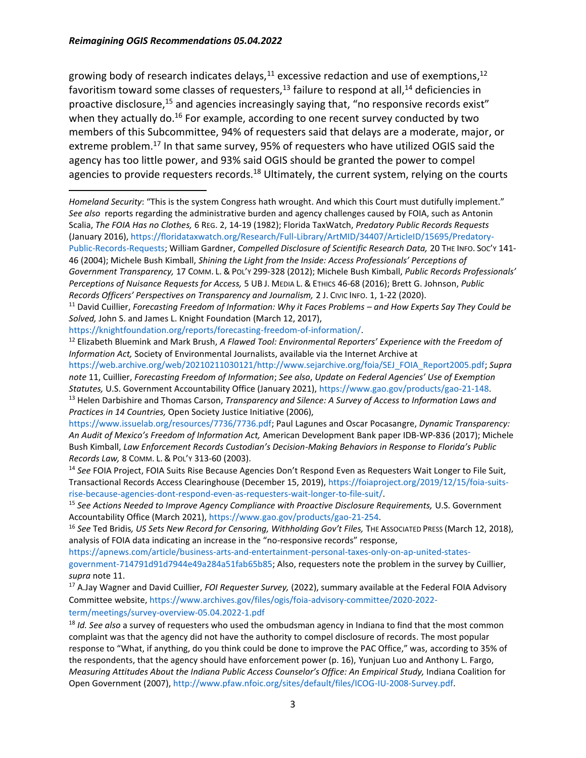#### *Reimagining OGIS Recommendations 05.04.2022*

growing body of research indicates delays, $^{11}$  excessive redaction and use of exemptions, $^{12}$ favoritism toward some classes of requesters,<sup>13</sup> failure to respond at all,<sup>14</sup> deficiencies in proactive disclosure,<sup>15</sup> and agencies increasingly saying that, "no responsive records exist" when they actually do.<sup>16</sup> For example, according to one recent survey conducted by two members of this Subcommittee, 94% of requesters said that delays are a moderate, major, or extreme problem.<sup>17</sup> In that same survey, 95% of requesters who have utilized OGIS said the agency has too little power, and 93% said OGIS should be granted the power to compel agencies to provide requesters records.<sup>18</sup> Ultimately, the current system, relying on the courts

*Homeland Security*: "This is the system Congress hath wrought. And which this Court must dutifully implement." *See also* reports regarding the administrative burden and agency challenges caused by FOIA, such as Antonin Scalia, *The FOIA Has no Clothes,* 6 REG. 2, 14-19 (1982); Florida TaxWatch, *Predatory Public Records Requests* (January 2016)[, https://floridataxwatch.org/Research/Full-Library/ArtMID/34407/ArticleID/15695/Predatory-](https://floridataxwatch.org/Research/Full-Library/ArtMID/34407/ArticleID/15695/Predatory-Public-Records-Requests)[Public-Records-Requests;](https://floridataxwatch.org/Research/Full-Library/ArtMID/34407/ArticleID/15695/Predatory-Public-Records-Requests) William Gardner, *Compelled Disclosure of Scientific Research Data,* 20 THE INFO. SOC'Y 141-

46 (2004); Michele Bush Kimball, *Shining the Light from the Inside: Access Professionals' Perceptions of Government Transparency,* 17 COMM. L. & POL'Y 299-328 (2012); Michele Bush Kimball, *Public Records Professionals' Perceptions of Nuisance Requests for Access,* 5 UB J. MEDIA L. & ETHICS 46-68 (2016); Brett G. Johnson, *Public Records Officers' Perspectives on Transparency and Journalism,* 2 J. CIVIC INFO. 1, 1-22 (2020).

[https://knightfoundation.org/reports/forecasting-freedom-of-information/.](https://knightfoundation.org/reports/forecasting-freedom-of-information/)

<sup>12</sup> Elizabeth Bluemink and Mark Brush, *A Flawed Tool: Environmental Reporters' Experience with the Freedom of Information Act,* Society of Environmental Journalists, available via the Internet Archive at

[https://web.archive.org/web/20210211030121/http://www.sejarchive.org/foia/SEJ\\_FOIA\\_Report2005.pdf;](https://web.archive.org/web/20210211030121/http:/www.sejarchive.org/foia/SEJ_FOIA_Report2005.pdf) *Supra note* 11, Cuillier, *Forecasting Freedom of Information*; *See also*, *Update on Federal Agencies' Use of Exemption Statutes,* U.S. Government Accountability Office (January 2021), [https://www.gao.gov/products/gao-21-148.](https://www.gao.gov/products/gao-21-148)

[https://apnews.com/article/business-arts-and-entertainment-personal-taxes-only-on-ap-united-states](https://apnews.com/article/business-arts-and-entertainment-personal-taxes-only-on-ap-united-states-government-714791d91d7944e49a284a51fab65b85)[government-714791d91d7944e49a284a51fab65b85;](https://apnews.com/article/business-arts-and-entertainment-personal-taxes-only-on-ap-united-states-government-714791d91d7944e49a284a51fab65b85) Also, requesters note the problem in the survey by Cuillier, *supra* note 11.

<sup>&</sup>lt;sup>11</sup> David Cuillier, *Forecasting Freedom of Information: Why it Faces Problems – and How Experts Say They Could be Solved,* John S. and James L. Knight Foundation (March 12, 2017),

<sup>13</sup> Helen Darbishire and Thomas Carson, *Transparency and Silence: A Survey of Access to Information Laws and Practices in 14 Countries,* Open Society Justice Initiative (2006),

[https://www.issuelab.org/resources/7736/7736.pdf;](https://www.issuelab.org/resources/7736/7736.pdf) Paul Lagunes and Oscar Pocasangre, *Dynamic Transparency: An Audit of Mexico's Freedom of Information Act,* American Development Bank paper IDB-WP-836 (2017); Michele Bush Kimball, *Law Enforcement Records Custodian's Decision-Making Behaviors in Response to Florida's Public Records Law,* 8 COMM. L. & POL'Y 313-60 (2003).

<sup>14</sup> *See* FOIA Project, FOIA Suits Rise Because Agencies Don't Respond Even as Requesters Wait Longer to File Suit, Transactional Records Access Clearinghouse (December 15, 2019), [https://foiaproject.org/2019/12/15/foia-suits](https://foiaproject.org/2019/12/15/foia-suits-rise-because-agencies-dont-respond-even-as-requesters-wait-longer-to-file-suit/)[rise-because-agencies-dont-respond-even-as-requesters-wait-longer-to-file-suit/.](https://foiaproject.org/2019/12/15/foia-suits-rise-because-agencies-dont-respond-even-as-requesters-wait-longer-to-file-suit/)

<sup>&</sup>lt;sup>15</sup> See Actions Needed to Improve Agency Compliance with Proactive Disclosure Requirements, U.S. Government Accountability Office (March 2021)[, https://www.gao.gov/products/gao-21-254.](https://www.gao.gov/products/gao-21-254)

<sup>16</sup> *See* Ted Bridis*, US Sets New Record for Censoring, Withholding Gov't Files,* THE ASSOCIATED PRESS (March 12, 2018), analysis of FOIA data indicating an increase in the "no-responsive records" response,

<sup>17</sup> A.Jay Wagner and David Cuillier, *FOI Requester Survey,* (2022), summary available at the Federal FOIA Advisory Committee website[, https://www.archives.gov/files/ogis/foia-advisory-committee/2020-2022](https://www.archives.gov/files/ogis/foia-advisory-committee/2020-2022-term/meetings/survey-overview-05.04.2022-1.pdf) [term/meetings/survey-overview-05.04.2022-1.pdf](https://www.archives.gov/files/ogis/foia-advisory-committee/2020-2022-term/meetings/survey-overview-05.04.2022-1.pdf)

<sup>18</sup> *Id. See also* a survey of requesters who used the ombudsman agency in Indiana to find that the most common complaint was that the agency did not have the authority to compel disclosure of records. The most popular response to "What, if anything, do you think could be done to improve the PAC Office," was, according to 35% of the respondents, that the agency should have enforcement power (p. 16), Yunjuan Luo and Anthony L. Fargo, *Measuring Attitudes About the Indiana Public Access Counselor's Office: An Empirical Study,* Indiana Coalition for Open Government (2007), [http://www.pfaw.nfoic.org/sites/default/files/ICOG-IU-2008-Survey.pdf.](http://www.pfaw.nfoic.org/sites/default/files/ICOG-IU-2008-Survey.pdf)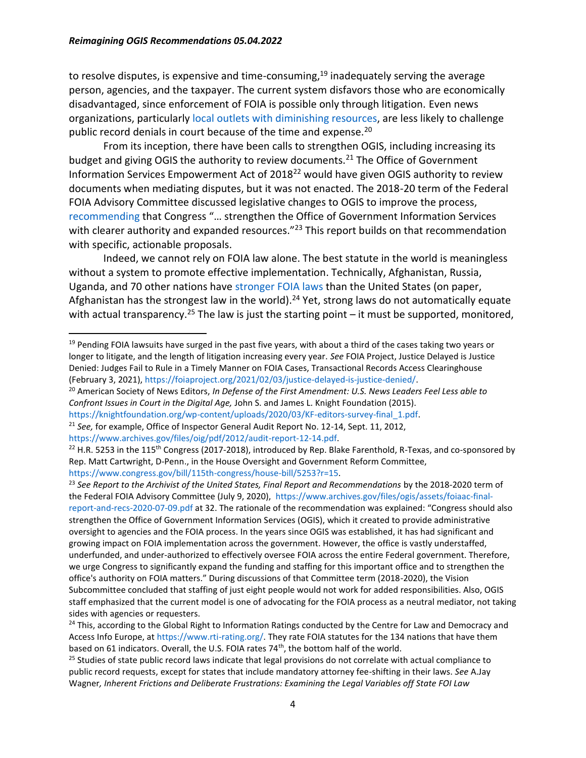to resolve disputes, is expensive and time-consuming,<sup>19</sup> inadequately serving the average person, agencies, and the taxpayer. The current system disfavors those who are economically disadvantaged, since enforcement of FOIA is possible only through litigation. Even news organizations, particularly [local outlets with diminishing resources,](https://www.brookings.edu/wp-content/uploads/2019/11/Local-Journalism-in-Crisis.pdf) are less likely to challenge public record denials in court because of the time and expense.<sup>20</sup>

From its inception, there have been calls to strengthen OGIS, including increasing its budget and giving OGIS the authority to review documents.<sup>21</sup> The Office of Government Information Services Empowerment Act of  $2018^{22}$  would have given OGIS authority to review documents when mediating disputes, but it was not enacted. The 2018-20 term of the Federal FOIA Advisory Committee discussed legislative changes to OGIS to improve the process, [recommending](https://www.archives.gov/files/ogis/assets/foiaac-final-report-and-recs-2020-07-09.pdf) that Congress "… strengthen the Office of Government Information Services with clearer authority and expanded resources."<sup>23</sup> This report builds on that recommendation with specific, actionable proposals.

Indeed, we cannot rely on FOIA law alone. The best statute in the world is meaningless without a system to promote effective implementation. Technically, Afghanistan, Russia, Uganda, and 70 other nations have [stronger FOIA laws](https://www.rti-rating.org/) than the United States (on paper, Afghanistan has the strongest law in the world).<sup>24</sup> Yet, strong laws do not automatically equate with actual transparency.<sup>25</sup> The law is just the starting point – it must be supported, monitored,

<sup>23</sup> *See Report to the Archivist of the United States, Final Report and Recommendations* by the 2018-2020 term of the Federal FOIA Advisory Committee (July 9, 2020), [https://www.archives.gov/files/ogis/assets/foiaac-final](https://www.archives.gov/files/ogis/assets/foiaac-final-report-and-recs-2020-07-09.pdf)[report-and-recs-2020-07-09.pdf](https://www.archives.gov/files/ogis/assets/foiaac-final-report-and-recs-2020-07-09.pdf) at 32. The rationale of the recommendation was explained: "Congress should also strengthen the Office of Government Information Services (OGIS), which it created to provide administrative oversight to agencies and the FOIA process. In the years since OGIS was established, it has had significant and growing impact on FOIA implementation across the government. However, the office is vastly understaffed, underfunded, and under-authorized to effectively oversee FOIA across the entire Federal government. Therefore, we urge Congress to significantly expand the funding and staffing for this important office and to strengthen the office's authority on FOIA matters." During discussions of that Committee term (2018-2020), the Vision Subcommittee concluded that staffing of just eight people would not work for added responsibilities. Also, OGIS staff emphasized that the current model is one of advocating for the FOIA process as a neutral mediator, not taking sides with agencies or requesters.

 $19$  Pending FOIA lawsuits have surged in the past five years, with about a third of the cases taking two years or longer to litigate, and the length of litigation increasing every year. *See* FOIA Project, Justice Delayed is Justice Denied: Judges Fail to Rule in a Timely Manner on FOIA Cases, Transactional Records Access Clearinghouse (February 3, 2021)[, https://foiaproject.org/2021/02/03/justice-delayed-is-justice-denied/.](https://foiaproject.org/2021/02/03/justice-delayed-is-justice-denied/)

<sup>20</sup> American Society of News Editors, *In Defense of the First Amendment: U.S. News Leaders Feel Less able to Confront Issues in Court in the Digital Age,* John S. and James L. Knight Foundation (2015).

[https://knightfoundation.org/wp-content/uploads/2020/03/KF-editors-survey-final\\_1.pdf.](https://knightfoundation.org/wp-content/uploads/2020/03/KF-editors-survey-final_1.pdf)

<sup>21</sup> *See,* for example, Office of Inspector General Audit Report No. 12-14, Sept. 11, 2012,

[https://www.archives.gov/files/oig/pdf/2012/audit-report-12-14.pdf.](https://www.archives.gov/files/oig/pdf/2012/audit-report-12-14.pdf)

 $22$  H.R. 5253 in the 115<sup>th</sup> Congress (2017-2018), introduced by Rep. Blake Farenthold, R-Texas, and co-sponsored by Rep. Matt Cartwright, D-Penn., in the House Oversight and Government Reform Committee, [https://www.congress.gov/bill/115th-congress/house-bill/5253?r=15.](https://www.congress.gov/bill/115th-congress/house-bill/5253?r=15)

<sup>&</sup>lt;sup>24</sup> This, according to the Global Right to Information Ratings conducted by the Centre for Law and Democracy and Access Info Europe, at [https://www.rti-rating.org/.](https://www.rti-rating.org/) They rate FOIA statutes for the 134 nations that have them based on 61 indicators. Overall, the U.S. FOIA rates 74<sup>th</sup>, the bottom half of the world.

<sup>&</sup>lt;sup>25</sup> Studies of state public record laws indicate that legal provisions do not correlate with actual compliance to public record requests, except for states that include mandatory attorney fee-shifting in their laws. *See* A.Jay Wagner*, Inherent Frictions and Deliberate Frustrations: Examining the Legal Variables off State FOI Law*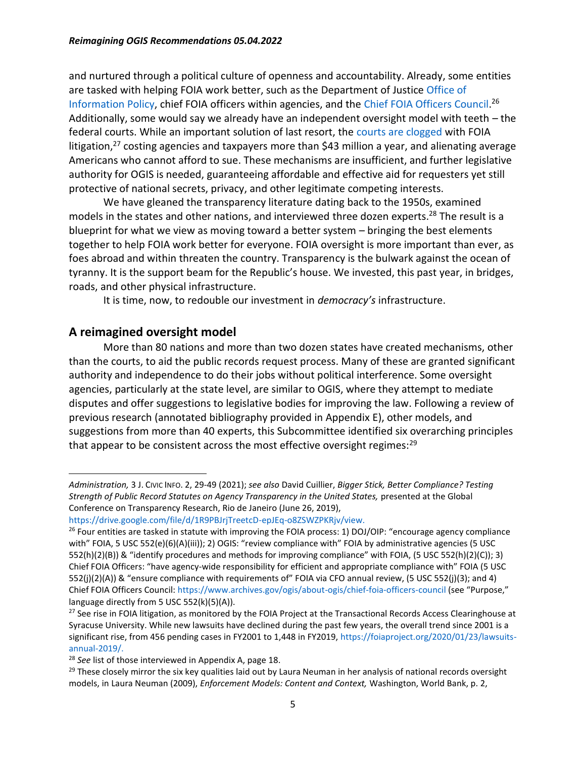and nurtured through a political culture of openness and accountability. Already, some entities are tasked with helping FOIA work better, such as the Department of Justice [Office of](https://www.justice.gov/oip)  [Information Policy,](https://www.justice.gov/oip) chief FOIA officers within agencies, and the [Chief FOIA Officers Council.](https://www.archives.gov/ogis/about-ogis/chief-foia-officers-council)<sup>26</sup> Additionally, some would say we already have an independent oversight model with teeth – the federal courts. While an important solution of last resort, the [courts are clogged](file:///E:/_Main/Service/NARA%20FOIA%20Advisory%20committee/Legislative%20Subcommittee/Reimagining%20OGIS/,%20https:/foiaproject.org/2020/01/23/lawsuits-annual-2019/) with FOIA litigation, $27$  costing agencies and taxpayers more than \$43 million a year, and alienating average Americans who cannot afford to sue. These mechanisms are insufficient, and further legislative authority for OGIS is needed, guaranteeing affordable and effective aid for requesters yet still protective of national secrets, privacy, and other legitimate competing interests.

We have gleaned the transparency literature dating back to the 1950s, examined models in the states and other nations, and interviewed three dozen experts.<sup>28</sup> The result is a blueprint for what we view as moving toward a better system – bringing the best elements together to help FOIA work better for everyone. FOIA oversight is more important than ever, as foes abroad and within threaten the country. Transparency is the bulwark against the ocean of tyranny. It is the support beam for the Republic's house. We invested, this past year, in bridges, roads, and other physical infrastructure.

It is time, now, to redouble our investment in *democracy's* infrastructure.

#### **A reimagined oversight model**

More than 80 nations and more than two dozen states have created mechanisms, other than the courts, to aid the public records request process. Many of these are granted significant authority and independence to do their jobs without political interference. Some oversight agencies, particularly at the state level, are similar to OGIS, where they attempt to mediate disputes and offer suggestions to legislative bodies for improving the law. Following a review of previous research (annotated bibliography provided in Appendix E), other models, and suggestions from more than 40 experts, this Subcommittee identified six overarching principles that appear to be consistent across the most effective oversight regimes: $^{29}$ 

```
https://drive.google.com/file/d/1R9PBJrjTreetcD-epJEq-o8ZSWZPKRjv/view.
```
*Administration,* 3 J. CIVIC INFO. 2, 29-49 (2021); *see also* David Cuillier, *Bigger Stick, Better Compliance? Testing Strength of Public Record Statutes on Agency Transparency in the United States,* presented at the Global Conference on Transparency Research, Rio de Janeiro (June 26, 2019),

<sup>&</sup>lt;sup>26</sup> Four entities are tasked in statute with improving the FOIA process: 1) DOJ/OIP: "encourage agency compliance with" FOIA, 5 USC 552(e)(6)(A)(iii)); 2) OGIS: "review compliance with" FOIA by administrative agencies (5 USC 552(h)(2)(B)) & "identify procedures and methods for improving compliance" with FOIA, (5 USC 552(h)(2)(C)); 3) Chief FOIA Officers: "have agency-wide responsibility for efficient and appropriate compliance with" FOIA (5 USC 552(j)(2)(A)) & "ensure compliance with requirements of" FOIA via CFO annual review, (5 USC 552(j)(3); and 4) Chief FOIA Officers Council[: https://www.archives.gov/ogis/about-ogis/chief-foia-officers-council](https://www.archives.gov/ogis/about-ogis/chief-foia-officers-council) (see "Purpose," language directly from 5 USC 552(k)(5)(A)).

<sup>&</sup>lt;sup>27</sup> See rise in FOIA litigation, as monitored by the FOIA Project at the Transactional Records Access Clearinghouse at Syracuse University. While new lawsuits have declined during the past few years, the overall trend since 2001 is a significant rise, from 456 pending cases in FY2001 to 1,448 in FY2019, [https://foiaproject.org/2020/01/23/lawsuits](https://foiaproject.org/2020/01/23/lawsuits-annual-2019/)[annual-2019/.](https://foiaproject.org/2020/01/23/lawsuits-annual-2019/)

<sup>28</sup> *See* list of those interviewed in Appendix A, page 18.

 $29$  These closely mirror the six key qualities laid out by Laura Neuman in her analysis of national records oversight models, in Laura Neuman (2009), *Enforcement Models: Content and Context,* Washington, World Bank, p. 2,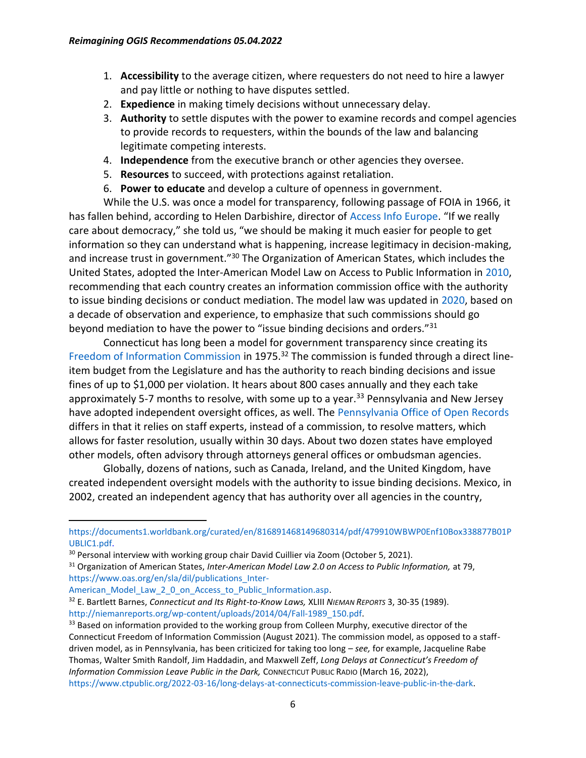- 1. **Accessibility** to the average citizen, where requesters do not need to hire a lawyer and pay little or nothing to have disputes settled.
- 2. **Expedience** in making timely decisions without unnecessary delay.
- 3. **Authority** to settle disputes with the power to examine records and compel agencies to provide records to requesters, within the bounds of the law and balancing legitimate competing interests.
- 4. **Independence** from the executive branch or other agencies they oversee.
- 5. **Resources** to succeed, with protections against retaliation.
- 6. **Power to educate** and develop a culture of openness in government.

While the U.S. was once a model for transparency, following passage of FOIA in 1966, it has fallen behind, according to Helen Darbishire, director of [Access Info Europe](https://www.access-info.org/). "If we really care about democracy," she told us, "we should be making it much easier for people to get information so they can understand what is happening, increase legitimacy in decision-making, and increase trust in government."<sup>30</sup> The Organization of American States, which includes the United States, adopted the Inter-American Model Law on Access to Public Information in [2010,](https://www.oas.org/en/sla/dil/docs/Access_Model_Law_Book_English.pdf) recommending that each country creates an information commission office with the authority to issue binding decisions or conduct mediation. The model law was updated in [2020,](https://www.oas.org/en/sla/dil/docs/publication_Inter-American_Model_Law_2_0_on_Access_to_Public_Information.pdf) based on a decade of observation and experience, to emphasize that such commissions should go beyond mediation to have the power to "issue binding decisions and orders."<sup>31</sup>

Connecticut has long been a model for government transparency since creating its [Freedom of Information Commission](https://portal.ct.gov/FOI) in 1975.<sup>32</sup> The commission is funded through a direct lineitem budget from the Legislature and has the authority to reach binding decisions and issue fines of up to \$1,000 per violation. It hears about 800 cases annually and they each take approximately 5-7 months to resolve, with some up to a year.<sup>33</sup> Pennsylvania and New Jersey have adopted independent oversight offices, as well. Th[e Pennsylvania Office of Open Records](https://www.openrecords.pa.gov/) differs in that it relies on staff experts, instead of a commission, to resolve matters, which allows for faster resolution, usually within 30 days. About two dozen states have employed other models, often advisory through attorneys general offices or ombudsman agencies.

Globally, dozens of nations, such as Canada, Ireland, and the United Kingdom, have created independent oversight models with the authority to issue binding decisions. Mexico, in 2002, created an independent agency that has authority over all agencies in the country,

[https://documents1.worldbank.org/curated/en/816891468149680314/pdf/479910WBWP0Enf10Box338877B01P](https://documents1.worldbank.org/curated/en/816891468149680314/pdf/479910WBWP0Enf10Box338877B01PUBLIC1.pdf) [UBLIC1.pdf.](https://documents1.worldbank.org/curated/en/816891468149680314/pdf/479910WBWP0Enf10Box338877B01PUBLIC1.pdf)

<sup>&</sup>lt;sup>30</sup> Personal interview with working group chair David Cuillier via Zoom (October 5, 2021).

<sup>31</sup> Organization of American States, *Inter-American Model Law 2.0 on Access to Public Information,* at 79, [https://www.oas.org/en/sla/dil/publications\\_Inter-](https://www.oas.org/en/sla/dil/publications_Inter-American_Model_Law_2_0_on_Access_to_Public_Information.asp)

American Model Law 2 0 on Access to Public Information.asp.

<sup>32</sup> E. Bartlett Barnes, *Connecticut and Its Right-to-Know Laws,* XLIII *NIEMAN REPORTS* 3, 30-35 (1989). [http://niemanreports.org/wp-content/uploads/2014/04/Fall-1989\\_150.pdf.](http://niemanreports.org/wp-content/uploads/2014/04/Fall-1989_150.pdf)

<sup>&</sup>lt;sup>33</sup> Based on information provided to the working group from Colleen Murphy, executive director of the Connecticut Freedom of Information Commission (August 2021). The commission model, as opposed to a staffdriven model, as in Pennsylvania, has been criticized for taking too long – *see,* for example, Jacqueline Rabe Thomas, Walter Smith Randolf, Jim Haddadin, and Maxwell Zeff, *Long Delays at Connecticut's Freedom of Information Commission Leave Public in the Dark,* CONNECTICUT PUBLIC RADIO (March 16, 2022), [https://www.ctpublic.org/2022-03-16/long-delays-at-connecticuts-commission-leave-public-in-the-dark.](https://www.ctpublic.org/2022-03-16/long-delays-at-connecticuts-commission-leave-public-in-the-dark)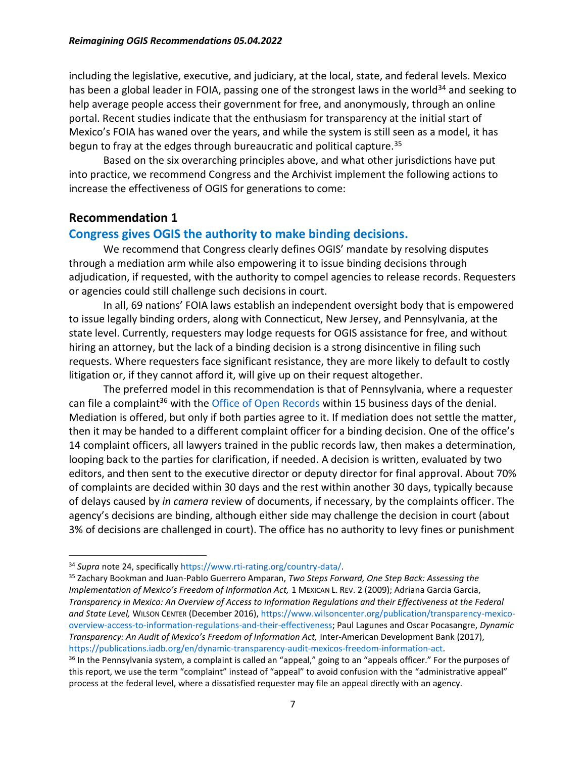including the legislative, executive, and judiciary, at the local, state, and federal levels. Mexico has been a global leader in FOIA, passing one of the strongest laws in the world<sup>34</sup> and seeking to help average people access their government for free, and anonymously, through an online portal. Recent studies indicate that the enthusiasm for transparency at the initial start of Mexico's FOIA has waned over the years, and while the system is still seen as a model, it has begun to fray at the edges through bureaucratic and political capture.<sup>35</sup>

Based on the six overarching principles above, and what other jurisdictions have put into practice, we recommend Congress and the Archivist implement the following actions to increase the effectiveness of OGIS for generations to come:

#### **Recommendation 1**

#### **Congress gives OGIS the authority to make binding decisions.**

We recommend that Congress clearly defines OGIS' mandate by resolving disputes through a mediation arm while also empowering it to issue binding decisions through adjudication, if requested, with the authority to compel agencies to release records. Requesters or agencies could still challenge such decisions in court.

In all, 69 nations' FOIA laws establish an independent oversight body that is empowered to issue legally binding orders, along with Connecticut, New Jersey, and Pennsylvania, at the state level. Currently, requesters may lodge requests for OGIS assistance for free, and without hiring an attorney, but the lack of a binding decision is a strong disincentive in filing such requests. Where requesters face significant resistance, they are more likely to default to costly litigation or, if they cannot afford it, will give up on their request altogether.

The preferred model in this recommendation is that of Pennsylvania, where a requester can file a complaint<sup>36</sup> with the [Office of Open Records](https://www.openrecords.pa.gov/) within 15 business days of the denial. Mediation is offered, but only if both parties agree to it. If mediation does not settle the matter, then it may be handed to a different complaint officer for a binding decision. One of the office's 14 complaint officers, all lawyers trained in the public records law, then makes a determination, looping back to the parties for clarification, if needed. A decision is written, evaluated by two editors, and then sent to the executive director or deputy director for final approval. About 70% of complaints are decided within 30 days and the rest within another 30 days, typically because of delays caused by *in camera* review of documents, if necessary, by the complaints officer. The agency's decisions are binding, although either side may challenge the decision in court (about 3% of decisions are challenged in court). The office has no authority to levy fines or punishment

<sup>34</sup> *Supra* note 24, specifically [https://www.rti-rating.org/country-data/.](https://www.rti-rating.org/country-data/)

<sup>35</sup> Zachary Bookman and Juan-Pablo Guerrero Amparan, *Two Steps Forward, One Step Back: Assessing the Implementation of Mexico's Freedom of Information Act,* 1 MEXICAN L. REV. 2 (2009); Adriana Garcia Garcia, *Transparency in Mexico: An Overview of Access to Information Regulations and their Effectiveness at the Federal and State Level,* WILSON CENTER (December 2016), [https://www.wilsoncenter.org/publication/transparency-mexico](https://www.wilsoncenter.org/publication/transparency-mexico-overview-access-to-information-regulations-and-their-effectiveness)[overview-access-to-information-regulations-and-their-effectiveness;](https://www.wilsoncenter.org/publication/transparency-mexico-overview-access-to-information-regulations-and-their-effectiveness) Paul Lagunes and Oscar Pocasangre, *Dynamic Transparency: An Audit of Mexico's Freedom of Information Act,* Inter-American Development Bank (2017), [https://publications.iadb.org/en/dynamic-transparency-audit-mexicos-freedom-information-act.](https://publications.iadb.org/en/dynamic-transparency-audit-mexicos-freedom-information-act)

<sup>&</sup>lt;sup>36</sup> In the Pennsylvania system, a complaint is called an "appeal," going to an "appeals officer." For the purposes of this report, we use the term "complaint" instead of "appeal" to avoid confusion with the "administrative appeal" process at the federal level, where a dissatisfied requester may file an appeal directly with an agency.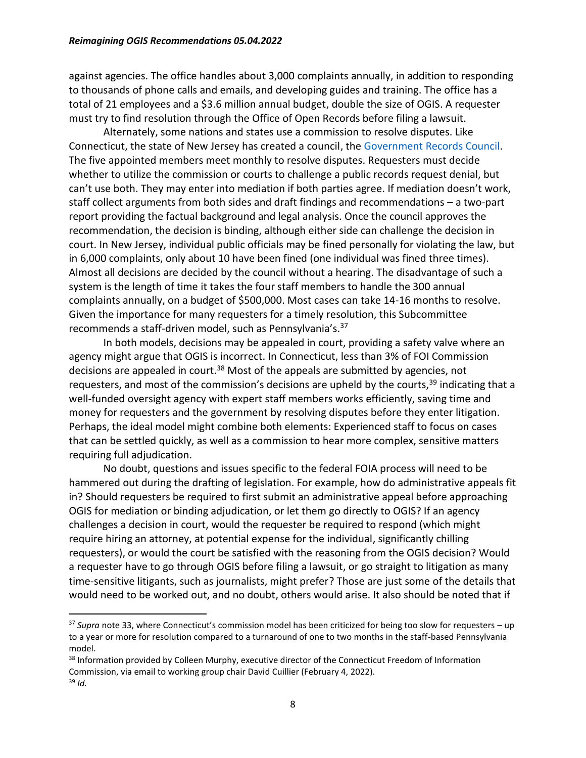against agencies. The office handles about 3,000 complaints annually, in addition to responding to thousands of phone calls and emails, and developing guides and training. The office has a total of 21 employees and a \$3.6 million annual budget, double the size of OGIS. A requester must try to find resolution through the Office of Open Records before filing a lawsuit.

Alternately, some nations and states use a commission to resolve disputes. Like Connecticut, the state of New Jersey has created a council, the [Government Records Council.](https://www.state.nj.us/grc/) The five appointed members meet monthly to resolve disputes. Requesters must decide whether to utilize the commission or courts to challenge a public records request denial, but can't use both. They may enter into mediation if both parties agree. If mediation doesn't work, staff collect arguments from both sides and draft findings and recommendations – a two-part report providing the factual background and legal analysis. Once the council approves the recommendation, the decision is binding, although either side can challenge the decision in court. In New Jersey, individual public officials may be fined personally for violating the law, but in 6,000 complaints, only about 10 have been fined (one individual was fined three times). Almost all decisions are decided by the council without a hearing. The disadvantage of such a system is the length of time it takes the four staff members to handle the 300 annual complaints annually, on a budget of \$500,000. Most cases can take 14-16 months to resolve. Given the importance for many requesters for a timely resolution, this Subcommittee recommends a staff-driven model, such as Pennsylvania's.<sup>37</sup>

In both models, decisions may be appealed in court, providing a safety valve where an agency might argue that OGIS is incorrect. In Connecticut, less than 3% of FOI Commission decisions are appealed in court.<sup>38</sup> Most of the appeals are submitted by agencies, not requesters, and most of the commission's decisions are upheld by the courts,  $39$  indicating that a well-funded oversight agency with expert staff members works efficiently, saving time and money for requesters and the government by resolving disputes before they enter litigation. Perhaps, the ideal model might combine both elements: Experienced staff to focus on cases that can be settled quickly, as well as a commission to hear more complex, sensitive matters requiring full adjudication.

No doubt, questions and issues specific to the federal FOIA process will need to be hammered out during the drafting of legislation. For example, how do administrative appeals fit in? Should requesters be required to first submit an administrative appeal before approaching OGIS for mediation or binding adjudication, or let them go directly to OGIS? If an agency challenges a decision in court, would the requester be required to respond (which might require hiring an attorney, at potential expense for the individual, significantly chilling requesters), or would the court be satisfied with the reasoning from the OGIS decision? Would a requester have to go through OGIS before filing a lawsuit, or go straight to litigation as many time-sensitive litigants, such as journalists, might prefer? Those are just some of the details that would need to be worked out, and no doubt, others would arise. It also should be noted that if

<sup>37</sup> *Supra* note 33, where Connecticut's commission model has been criticized for being too slow for requesters – up to a year or more for resolution compared to a turnaround of one to two months in the staff-based Pennsylvania model.

<sup>&</sup>lt;sup>38</sup> Information provided by Colleen Murphy, executive director of the Connecticut Freedom of Information Commission, via email to working group chair David Cuillier (February 4, 2022). <sup>39</sup> *Id.*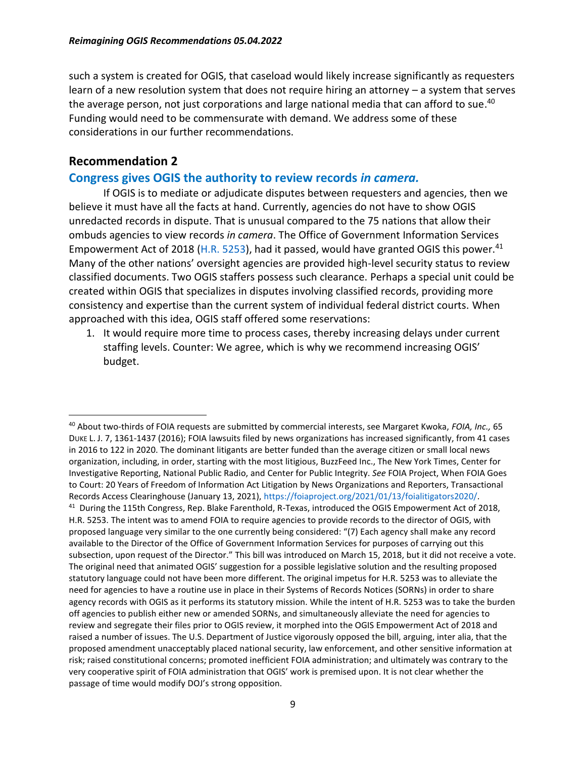such a system is created for OGIS, that caseload would likely increase significantly as requesters learn of a new resolution system that does not require hiring an attorney – a system that serves the average person, not just corporations and large national media that can afford to sue.<sup>40</sup> Funding would need to be commensurate with demand. We address some of these considerations in our further recommendations.

#### **Recommendation 2**

#### **Congress gives OGIS the authority to review records** *in camera.*

If OGIS is to mediate or adjudicate disputes between requesters and agencies, then we believe it must have all the facts at hand. Currently, agencies do not have to show OGIS unredacted records in dispute. That is unusual compared to the 75 nations that allow their ombuds agencies to view records *in camera*. The Office of Government Information Services Empowerment Act of 2018 [\(H.R. 5253\)](https://www.congress.gov/bill/115th-congress/house-bill/5253?r=15), had it passed, would have granted OGIS this power.<sup>41</sup> Many of the other nations' oversight agencies are provided high-level security status to review classified documents. Two OGIS staffers possess such clearance. Perhaps a special unit could be created within OGIS that specializes in disputes involving classified records, providing more consistency and expertise than the current system of individual federal district courts. When approached with this idea, OGIS staff offered some reservations:

1. It would require more time to process cases, thereby increasing delays under current staffing levels. Counter: We agree, which is why we recommend increasing OGIS' budget.

<sup>40</sup> About two-thirds of FOIA requests are submitted by commercial interests, see Margaret Kwoka, *FOIA, Inc.,* 65 DUKE L. J. 7, 1361-1437 (2016); FOIA lawsuits filed by news organizations has increased significantly, from 41 cases in 2016 to 122 in 2020. The dominant litigants are better funded than the average citizen or small local news organization, including, in order, starting with the most litigious, BuzzFeed Inc., The New York Times, Center for Investigative Reporting, National Public Radio, and Center for Public Integrity. *See* FOIA Project, When FOIA Goes to Court: 20 Years of Freedom of Information Act Litigation by News Organizations and Reporters, Transactional Records Access Clearinghouse (January 13, 2021)[, https://foiaproject.org/2021/01/13/foialitigators2020/.](https://foiaproject.org/2021/01/13/foialitigators2020/) <sup>41</sup> During the 115th Congress, Rep. Blake Farenthold, R-Texas, introduced the OGIS Empowerment Act of 2018, H.R. 5253. The intent was to amend FOIA to require agencies to provide records to the director of OGIS, with proposed language very similar to the one currently being considered: "(7) Each agency shall make any record available to the Director of the Office of Government Information Services for purposes of carrying out this subsection, upon request of the Director." This bill was introduced on March 15, 2018, but it did not receive a vote. The original need that animated OGIS' suggestion for a possible legislative solution and the resulting proposed statutory language could not have been more different. The original impetus for H.R. 5253 was to alleviate the need for agencies to have a routine use in place in their Systems of Records Notices (SORNs) in order to share agency records with OGIS as it performs its statutory mission. While the intent of H.R. 5253 was to take the burden off agencies to publish either new or amended SORNs, and simultaneously alleviate the need for agencies to review and segregate their files prior to OGIS review, it morphed into the OGIS Empowerment Act of 2018 and raised a number of issues. The U.S. Department of Justice vigorously opposed the bill, arguing, inter alia, that the proposed amendment unacceptably placed national security, law enforcement, and other sensitive information at risk; raised constitutional concerns; promoted inefficient FOIA administration; and ultimately was contrary to the very cooperative spirit of FOIA administration that OGIS' work is premised upon. It is not clear whether the passage of time would modify DOJ's strong opposition.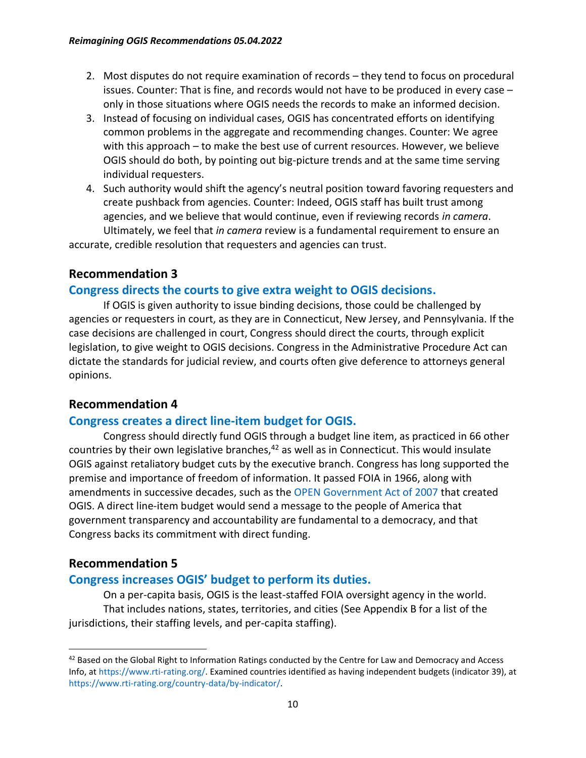- 2. Most disputes do not require examination of records they tend to focus on procedural issues. Counter: That is fine, and records would not have to be produced in every case – only in those situations where OGIS needs the records to make an informed decision.
- 3. Instead of focusing on individual cases, OGIS has concentrated efforts on identifying common problems in the aggregate and recommending changes. Counter: We agree with this approach – to make the best use of current resources. However, we believe OGIS should do both, by pointing out big-picture trends and at the same time serving individual requesters.
- 4. Such authority would shift the agency's neutral position toward favoring requesters and create pushback from agencies. Counter: Indeed, OGIS staff has built trust among agencies, and we believe that would continue, even if reviewing records *in camera*. Ultimately, we feel that *in camera* review is a fundamental requirement to ensure an

accurate, credible resolution that requesters and agencies can trust.

#### **Recommendation 3**

#### **Congress directs the courts to give extra weight to OGIS decisions.**

If OGIS is given authority to issue binding decisions, those could be challenged by agencies or requesters in court, as they are in Connecticut, New Jersey, and Pennsylvania. If the case decisions are challenged in court, Congress should direct the courts, through explicit legislation, to give weight to OGIS decisions. Congress in the Administrative Procedure Act can dictate the standards for judicial review, and courts often give deference to attorneys general opinions.

#### **Recommendation 4**

#### **Congress creates a direct line-item budget for OGIS.**

Congress should directly fund OGIS through a budget line item, as practiced in 66 other countries by their own legislative branches, $42$  as well as in Connecticut. This would insulate OGIS against retaliatory budget cuts by the executive branch. Congress has long supported the premise and importance of freedom of information. It passed FOIA in 1966, along with amendments in successive decades, such as the [OPEN Government Act of 2007](https://www.congress.gov/bill/110th-congress/senate-bill/2488) that created OGIS. A direct line-item budget would send a message to the people of America that government transparency and accountability are fundamental to a democracy, and that Congress backs its commitment with direct funding.

#### **Recommendation 5**

### **Congress increases OGIS' budget to perform its duties.**

On a per-capita basis, OGIS is the least-staffed FOIA oversight agency in the world. That includes nations, states, territories, and cities (See Appendix B for a list of the jurisdictions, their staffing levels, and per-capita staffing).

<sup>&</sup>lt;sup>42</sup> Based on the Global Right to Information Ratings conducted by the Centre for Law and Democracy and Access Info, at [https://www.rti-rating.org/.](https://www.rti-rating.org/) Examined countries identified as having independent budgets (indicator 39), at [https://www.rti-rating.org/country-data/by-indicator/.](https://www.rti-rating.org/country-data/by-indicator/)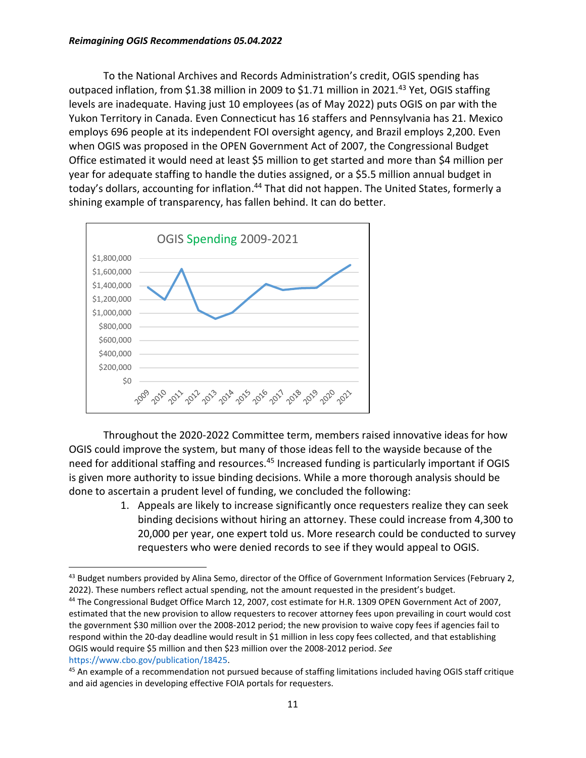#### *Reimagining OGIS Recommendations 05.04.2022*

To the National Archives and Records Administration's credit, OGIS spending has outpaced inflation, from \$1.38 million in 2009 to \$1.71 million in 2021.<sup>43</sup> Yet, OGIS staffing levels are inadequate. Having just 10 employees (as of May 2022) puts OGIS on par with the Yukon Territory in Canada. Even Connecticut has 16 staffers and Pennsylvania has 21. Mexico employs 696 people at its independent FOI oversight agency, and Brazil employs 2,200. Even when OGIS was proposed in the OPEN Government Act of 2007, the Congressional Budget Office estimated it would need at least \$5 million to get started and more than \$4 million per year for adequate staffing to handle the duties assigned, or a \$5.5 million annual budget in today's dollars, accounting for inflation.<sup>44</sup> That did not happen. The United States, formerly a shining example of transparency, has fallen behind. It can do better.



Throughout the 2020-2022 Committee term, members raised innovative ideas for how OGIS could improve the system, but many of those ideas fell to the wayside because of the need for additional staffing and resources.<sup>45</sup> Increased funding is particularly important if OGIS is given more authority to issue binding decisions. While a more thorough analysis should be done to ascertain a prudent level of funding, we concluded the following:

> 1. Appeals are likely to increase significantly once requesters realize they can seek binding decisions without hiring an attorney. These could increase from 4,300 to 20,000 per year, one expert told us. More research could be conducted to survey requesters who were denied records to see if they would appeal to OGIS.

<sup>&</sup>lt;sup>43</sup> Budget numbers provided by Alina Semo, director of the Office of Government Information Services (February 2, 2022). These numbers reflect actual spending, not the amount requested in the president's budget.

<sup>44</sup> The Congressional Budget Office March 12, 2007, cost estimate for H.R. 1309 OPEN Government Act of 2007, estimated that the new provision to allow requesters to recover attorney fees upon prevailing in court would cost the government \$30 million over the 2008-2012 period; the new provision to waive copy fees if agencies fail to respond within the 20-day deadline would result in \$1 million in less copy fees collected, and that establishing OGIS would require \$5 million and then \$23 million over the 2008-2012 period. *See* [https://www.cbo.gov/publication/18425.](https://www.cbo.gov/publication/18425)

<sup>&</sup>lt;sup>45</sup> An example of a recommendation not pursued because of staffing limitations included having OGIS staff critique and aid agencies in developing effective FOIA portals for requesters.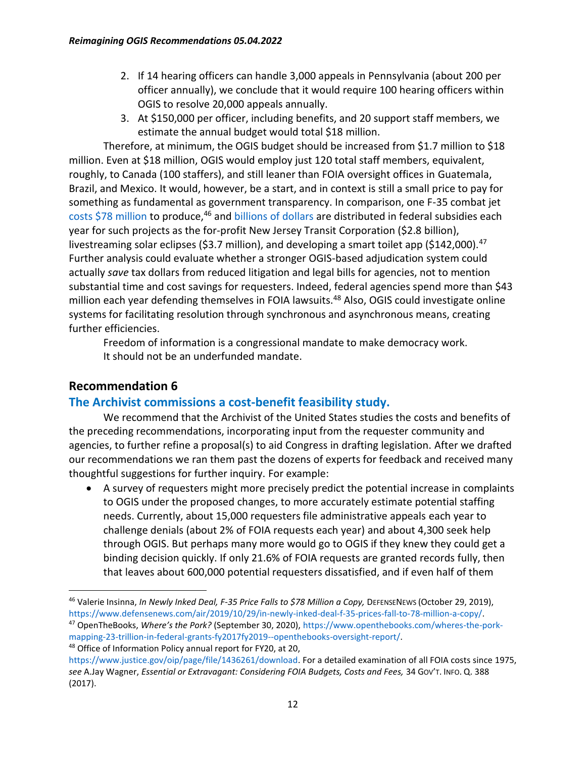- 2. If 14 hearing officers can handle 3,000 appeals in Pennsylvania (about 200 per officer annually), we conclude that it would require 100 hearing officers within OGIS to resolve 20,000 appeals annually.
- 3. At \$150,000 per officer, including benefits, and 20 support staff members, we estimate the annual budget would total \$18 million.

Therefore, at minimum, the OGIS budget should be increased from \$1.7 million to \$18 million. Even at \$18 million, OGIS would employ just 120 total staff members, equivalent, roughly, to Canada (100 staffers), and still leaner than FOIA oversight offices in Guatemala, Brazil, and Mexico. It would, however, be a start, and in context is still a small price to pay for something as fundamental as government transparency. In comparison, one F-35 combat jet [costs \\$78 million](https://www.defensenews.com/air/2019/10/29/in-newly-inked-deal-f-35-prices-fall-to-78-million-a-copy/) to produce,<sup>46</sup> and [billions of dollars](https://www.openthebooks.com/wheres-the-pork-mapping-23-trillion-in-federal-grants-fy2017fy2019--openthebooks-oversight-report/) are distributed in federal subsidies each year for such projects as the for-profit New Jersey Transit Corporation (\$2.8 billion), livestreaming solar eclipses (\$3.7 million), and developing a smart toilet app (\$142,000).<sup>47</sup> Further analysis could evaluate whether a stronger OGIS-based adjudication system could actually *save* tax dollars from reduced litigation and legal bills for agencies, not to mention substantial time and cost savings for requesters. Indeed, federal agencies spend more than \$43 million each year defending themselves in FOIA lawsuits.<sup>48</sup> Also, OGIS could investigate online systems for facilitating resolution through synchronous and asynchronous means, creating further efficiencies.

Freedom of information is a congressional mandate to make democracy work. It should not be an underfunded mandate.

### **Recommendation 6**

### **The Archivist commissions a cost-benefit feasibility study.**

We recommend that the Archivist of the United States studies the costs and benefits of the preceding recommendations, incorporating input from the requester community and agencies, to further refine a proposal(s) to aid Congress in drafting legislation. After we drafted our recommendations we ran them past the dozens of experts for feedback and received many thoughtful suggestions for further inquiry. For example:

• A survey of requesters might more precisely predict the potential increase in complaints to OGIS under the proposed changes, to more accurately estimate potential staffing needs. Currently, about 15,000 requesters file administrative appeals each year to challenge denials (about 2% of FOIA requests each year) and about 4,300 seek help through OGIS. But perhaps many more would go to OGIS if they knew they could get a binding decision quickly. If only 21.6% of FOIA requests are granted records fully, then that leaves about 600,000 potential requesters dissatisfied, and if even half of them

[mapping-23-trillion-in-federal-grants-fy2017fy2019--openthebooks-oversight-report/.](https://www.openthebooks.com/wheres-the-pork-mapping-23-trillion-in-federal-grants-fy2017fy2019--openthebooks-oversight-report/) <sup>48</sup> Office of Information Policy annual report for FY20, at 20,

<sup>46</sup> Valerie Insinna, *In Newly Inked Deal, F-35 Price Falls to \$78 Million a Copy,* DEFENSENEWS (October 29, 2019), [https://www.defensenews.com/air/2019/10/29/in-newly-inked-deal-f-35-prices-fall-to-78-million-a-copy/.](https://www.defensenews.com/air/2019/10/29/in-newly-inked-deal-f-35-prices-fall-to-78-million-a-copy/) <sup>47</sup> OpenTheBooks, *Where's the Pork?* (September 30, 2020)[, https://www.openthebooks.com/wheres-the-pork-](https://www.openthebooks.com/wheres-the-pork-mapping-23-trillion-in-federal-grants-fy2017fy2019--openthebooks-oversight-report/)

[https://www.justice.gov/oip/page/file/1436261/download.](https://www.justice.gov/oip/page/file/1436261/download) For a detailed examination of all FOIA costs since 1975, *see* A.Jay Wagner, *Essential or Extravagant: Considering FOIA Budgets, Costs and Fees,* 34 GOV'T. INFO. Q. 388 (2017).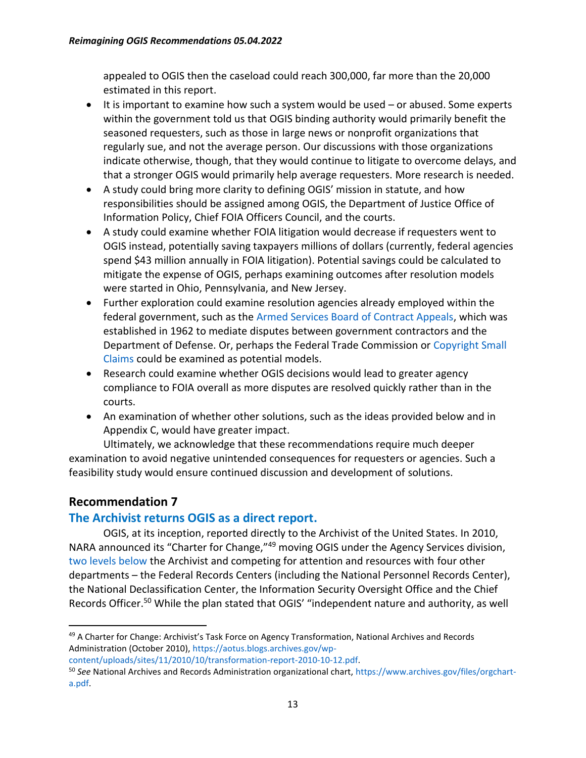appealed to OGIS then the caseload could reach 300,000, far more than the 20,000 estimated in this report.

- It is important to examine how such a system would be used or abused. Some experts within the government told us that OGIS binding authority would primarily benefit the seasoned requesters, such as those in large news or nonprofit organizations that regularly sue, and not the average person. Our discussions with those organizations indicate otherwise, though, that they would continue to litigate to overcome delays, and that a stronger OGIS would primarily help average requesters. More research is needed.
- A study could bring more clarity to defining OGIS' mission in statute, and how responsibilities should be assigned among OGIS, the Department of Justice Office of Information Policy, Chief FOIA Officers Council, and the courts.
- A study could examine whether FOIA litigation would decrease if requesters went to OGIS instead, potentially saving taxpayers millions of dollars (currently, federal agencies spend \$43 million annually in FOIA litigation). Potential savings could be calculated to mitigate the expense of OGIS, perhaps examining outcomes after resolution models were started in Ohio, Pennsylvania, and New Jersey.
- Further exploration could examine resolution agencies already employed within the federal government, such as the [Armed Services Board of Contract Appeals,](https://www.asbca.mil/) which was established in 1962 to mediate disputes between government contractors and the Department of Defense. Or, perhaps the Federal Trade Commission or [Copyright Small](https://www.copyright.gov/docs/smallclaims/)  [Claims](https://www.copyright.gov/docs/smallclaims/) could be examined as potential models.
- Research could examine whether OGIS decisions would lead to greater agency compliance to FOIA overall as more disputes are resolved quickly rather than in the courts.
- An examination of whether other solutions, such as the ideas provided below and in Appendix C, would have greater impact.

Ultimately, we acknowledge that these recommendations require much deeper examination to avoid negative unintended consequences for requesters or agencies. Such a feasibility study would ensure continued discussion and development of solutions.

## **Recommendation 7**

### **The Archivist returns OGIS as a direct report.**

OGIS, at its inception, reported directly to the Archivist of the United States. In 2010, NARA announced its "Charter for Change,"<sup>49</sup> moving OGIS under the Agency Services division, [two levels below](https://www.archives.gov/files/orgchart-a.pdf) the Archivist and competing for attention and resources with four other departments – the Federal Records Centers (including the National Personnel Records Center), the National Declassification Center, the Information Security Oversight Office and the Chief Records Officer.<sup>50</sup> While the plan stated that OGIS' "independent nature and authority, as well

<sup>&</sup>lt;sup>49</sup> A Charter for Change: Archivist's Task Force on Agency Transformation, National Archives and Records Administration (October 2010), [https://aotus.blogs.archives.gov/wp-](https://aotus.blogs.archives.gov/wp-content/uploads/sites/11/2010/10/transformation-report-2010-10-12.pdf)

[content/uploads/sites/11/2010/10/transformation-report-2010-10-12.pdf.](https://aotus.blogs.archives.gov/wp-content/uploads/sites/11/2010/10/transformation-report-2010-10-12.pdf)

<sup>50</sup> *See* National Archives and Records Administration organizational chart, [https://www.archives.gov/files/orgchart](https://www.archives.gov/files/orgchart-a.pdf)[a.pdf.](https://www.archives.gov/files/orgchart-a.pdf)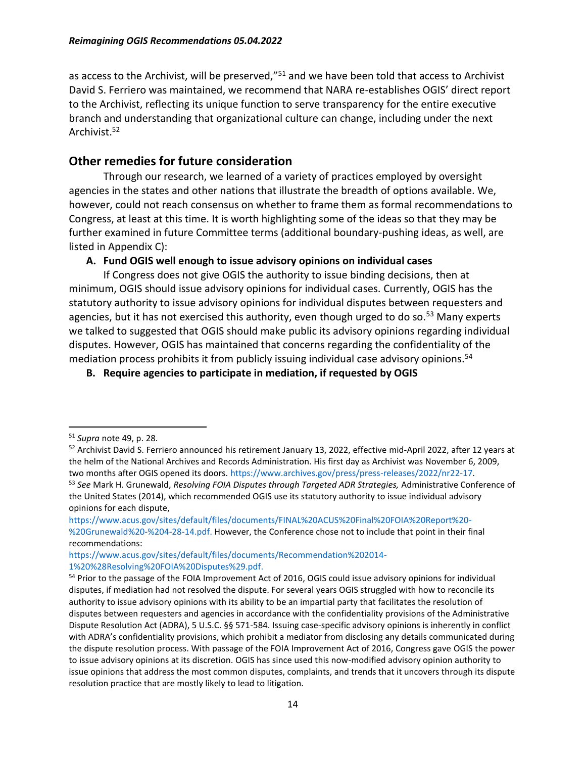as access to the Archivist, will be preserved,"<sup>51</sup> and we have been told that access to Archivist David S. Ferriero was maintained, we recommend that NARA re-establishes OGIS' direct report to the Archivist, reflecting its unique function to serve transparency for the entire executive branch and understanding that organizational culture can change, including under the next Archivist.<sup>52</sup>

#### **Other remedies for future consideration**

Through our research, we learned of a variety of practices employed by oversight agencies in the states and other nations that illustrate the breadth of options available. We, however, could not reach consensus on whether to frame them as formal recommendations to Congress, at least at this time. It is worth highlighting some of the ideas so that they may be further examined in future Committee terms (additional boundary-pushing ideas, as well, are listed in Appendix C):

#### **A. Fund OGIS well enough to issue advisory opinions on individual cases**

If Congress does not give OGIS the authority to issue binding decisions, then at minimum, OGIS should issue advisory opinions for individual cases. Currently, OGIS has the statutory authority to issue advisory opinions for individual disputes between requesters and agencies, but it has not exercised this authority, even though urged to do so.<sup>53</sup> Many experts we talked to suggested that OGIS should make public its advisory opinions regarding individual disputes. However, OGIS has maintained that concerns regarding the confidentiality of the mediation process prohibits it from publicly issuing individual case advisory opinions.<sup>54</sup>

**B. Require agencies to participate in mediation, if requested by OGIS**

<sup>51</sup> *Supra* note 49, p. 28.

<sup>&</sup>lt;sup>52</sup> Archivist David S. Ferriero announced his retirement January 13, 2022, effective mid-April 2022, after 12 years at the helm of the National Archives and Records Administration. His first day as Archivist was November 6, 2009, two months after OGIS opened its doors[. https://www.archives.gov/press/press-releases/2022/nr22-17.](https://www.archives.gov/press/press-releases/2022/nr22-17)

<sup>53</sup> *See* Mark H. Grunewald, *Resolving FOIA Disputes through Targeted ADR Strategies,* Administrative Conference of the United States (2014), which recommended OGIS use its statutory authority to issue individual advisory opinions for each dispute,

[https://www.acus.gov/sites/default/files/documents/FINAL%20ACUS%20Final%20FOIA%20Report%20-](https://www.acus.gov/sites/default/files/documents/FINAL%20ACUS%20Final%20FOIA%20Report%20-%20Grunewald%20-%204-28-14.pdf) [%20Grunewald%20-%204-28-14.pdf.](https://www.acus.gov/sites/default/files/documents/FINAL%20ACUS%20Final%20FOIA%20Report%20-%20Grunewald%20-%204-28-14.pdf) However, the Conference chose not to include that point in their final recommendations:

[https://www.acus.gov/sites/default/files/documents/Recommendation%202014-](https://www.acus.gov/sites/default/files/documents/Recommendation%202014-1%20%28Resolving%20FOIA%20Disputes%29.pdf) [1%20%28Resolving%20FOIA%20Disputes%29.pdf.](https://www.acus.gov/sites/default/files/documents/Recommendation%202014-1%20%28Resolving%20FOIA%20Disputes%29.pdf)

<sup>&</sup>lt;sup>54</sup> Prior to the passage of the FOIA Improvement Act of 2016, OGIS could issue advisory opinions for individual disputes, if mediation had not resolved the dispute. For several years OGIS struggled with how to reconcile its authority to issue advisory opinions with its ability to be an impartial party that facilitates the resolution of disputes between requesters and agencies in accordance with the confidentiality provisions of the Administrative Dispute Resolution Act (ADRA), 5 U.S.C. §§ 571-584. Issuing case-specific advisory opinions is inherently in conflict with ADRA's confidentiality provisions, which prohibit a mediator from disclosing any details communicated during the dispute resolution process. With passage of the FOIA Improvement Act of 2016, Congress gave OGIS the power to issue advisory opinions at its discretion. OGIS has since used this now-modified advisory opinion authority to issue opinions that address the most common disputes, complaints, and trends that it uncovers through its dispute resolution practice that are mostly likely to lead to litigation.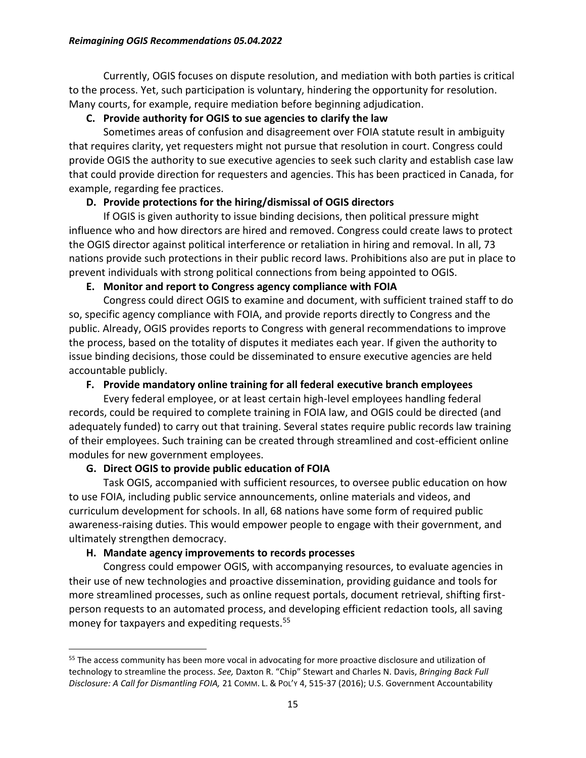Currently, OGIS focuses on dispute resolution, and mediation with both parties is critical to the process. Yet, such participation is voluntary, hindering the opportunity for resolution. Many courts, for example, require mediation before beginning adjudication.

#### **C. Provide authority for OGIS to sue agencies to clarify the law**

Sometimes areas of confusion and disagreement over FOIA statute result in ambiguity that requires clarity, yet requesters might not pursue that resolution in court. Congress could provide OGIS the authority to sue executive agencies to seek such clarity and establish case law that could provide direction for requesters and agencies. This has been practiced in Canada, for example, regarding fee practices.

#### **D. Provide protections for the hiring/dismissal of OGIS directors**

If OGIS is given authority to issue binding decisions, then political pressure might influence who and how directors are hired and removed. Congress could create laws to protect the OGIS director against political interference or retaliation in hiring and removal. In all, 73 nations provide such protections in their public record laws. Prohibitions also are put in place to prevent individuals with strong political connections from being appointed to OGIS.

#### **E. Monitor and report to Congress agency compliance with FOIA**

Congress could direct OGIS to examine and document, with sufficient trained staff to do so, specific agency compliance with FOIA, and provide reports directly to Congress and the public. Already, OGIS provides reports to Congress with general recommendations to improve the process, based on the totality of disputes it mediates each year. If given the authority to issue binding decisions, those could be disseminated to ensure executive agencies are held accountable publicly.

### **F. Provide mandatory online training for all federal executive branch employees**

Every federal employee, or at least certain high-level employees handling federal records, could be required to complete training in FOIA law, and OGIS could be directed (and adequately funded) to carry out that training. Several states require public records law training of their employees. Such training can be created through streamlined and cost-efficient online modules for new government employees.

#### **G. Direct OGIS to provide public education of FOIA**

Task OGIS, accompanied with sufficient resources, to oversee public education on how to use FOIA, including public service announcements, online materials and videos, and curriculum development for schools. In all, 68 nations have some form of required public awareness-raising duties. This would empower people to engage with their government, and ultimately strengthen democracy.

#### **H. Mandate agency improvements to records processes**

Congress could empower OGIS, with accompanying resources, to evaluate agencies in their use of new technologies and proactive dissemination, providing guidance and tools for more streamlined processes, such as online request portals, document retrieval, shifting firstperson requests to an automated process, and developing efficient redaction tools, all saving money for taxpayers and expediting requests.<sup>55</sup>

<sup>&</sup>lt;sup>55</sup> The access community has been more vocal in advocating for more proactive disclosure and utilization of technology to streamline the process. *See,* Daxton R. "Chip" Stewart and Charles N. Davis, *Bringing Back Full Disclosure: A Call for Dismantling FOIA,* 21 COMM. L. & POL'Y 4, 515-37 (2016); U.S. Government Accountability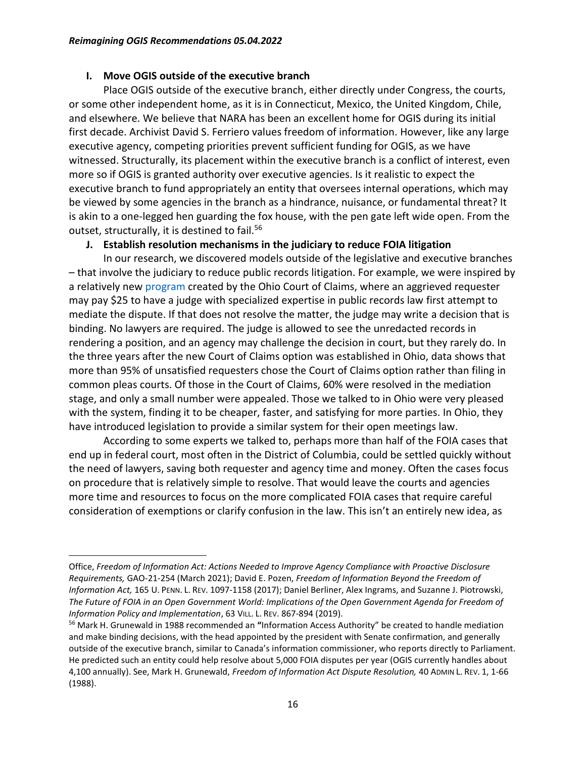#### **I. Move OGIS outside of the executive branch**

Place OGIS outside of the executive branch, either directly under Congress, the courts, or some other independent home, as it is in Connecticut, Mexico, the United Kingdom, Chile, and elsewhere. We believe that NARA has been an excellent home for OGIS during its initial first decade. Archivist David S. Ferriero values freedom of information. However, like any large executive agency, competing priorities prevent sufficient funding for OGIS, as we have witnessed. Structurally, its placement within the executive branch is a conflict of interest, even more so if OGIS is granted authority over executive agencies. Is it realistic to expect the executive branch to fund appropriately an entity that oversees internal operations, which may be viewed by some agencies in the branch as a hindrance, nuisance, or fundamental threat? It is akin to a one-legged hen guarding the fox house, with the pen gate left wide open. From the outset, structurally, it is destined to fail.<sup>56</sup>

#### **J. Establish resolution mechanisms in the judiciary to reduce FOIA litigation**

In our research, we discovered models outside of the legislative and executive branches – that involve the judiciary to reduce public records litigation. For example, we were inspired by a relatively new [program](https://ohiocourtofclaims.gov/public-records/) created by the Ohio Court of Claims, where an aggrieved requester may pay \$25 to have a judge with specialized expertise in public records law first attempt to mediate the dispute. If that does not resolve the matter, the judge may write a decision that is binding. No lawyers are required. The judge is allowed to see the unredacted records in rendering a position, and an agency may challenge the decision in court, but they rarely do. In the three years after the new Court of Claims option was established in Ohio, data shows that more than 95% of unsatisfied requesters chose the Court of Claims option rather than filing in common pleas courts. Of those in the Court of Claims, 60% were resolved in the mediation stage, and only a small number were appealed. Those we talked to in Ohio were very pleased with the system, finding it to be cheaper, faster, and satisfying for more parties. In Ohio, they have introduced legislation to provide a similar system for their open meetings law.

According to some experts we talked to, perhaps more than half of the FOIA cases that end up in federal court, most often in the District of Columbia, could be settled quickly without the need of lawyers, saving both requester and agency time and money. Often the cases focus on procedure that is relatively simple to resolve. That would leave the courts and agencies more time and resources to focus on the more complicated FOIA cases that require careful consideration of exemptions or clarify confusion in the law. This isn't an entirely new idea, as

Office, *Freedom of Information Act: Actions Needed to Improve Agency Compliance with Proactive Disclosure Requirements,* GAO-21-254 (March 2021); David E. Pozen, *Freedom of Information Beyond the Freedom of Information Act,* 165 U. PENN. L. REV. 1097-1158 (2017); Daniel Berliner, Alex Ingrams, and Suzanne J. Piotrowski, *The Future of FOIA in an Open Government World: Implications of the Open Government Agenda for Freedom of Information Policy and Implementation*, 63 VILL. L. REV. 867-894 (2019).

<sup>56</sup> Mark H. Grunewald in 1988 recommended an **"**Information Access Authority" be created to handle mediation and make binding decisions, with the head appointed by the president with Senate confirmation, and generally outside of the executive branch, similar to Canada's information commissioner, who reports directly to Parliament. He predicted such an entity could help resolve about 5,000 FOIA disputes per year (OGIS currently handles about 4,100 annually). See, Mark H. Grunewald, *Freedom of Information Act Dispute Resolution,* 40 ADMIN L. REV. 1, 1-66 (1988).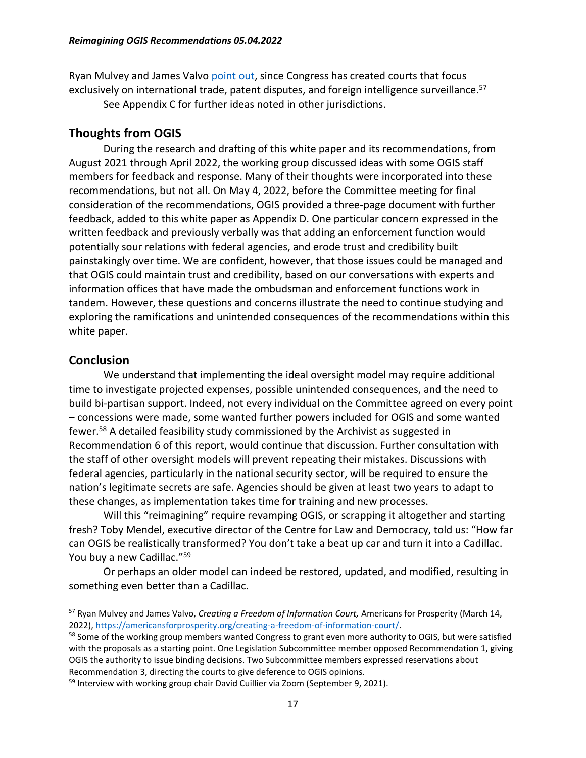Ryan Mulvey and James Valvo [point out,](https://americansforprosperity.org/creating-a-freedom-of-information-court/) since Congress has created courts that focus exclusively on international trade, patent disputes, and foreign intelligence surveillance.<sup>57</sup>

See Appendix C for further ideas noted in other jurisdictions.

#### **Thoughts from OGIS**

During the research and drafting of this white paper and its recommendations, from August 2021 through April 2022, the working group discussed ideas with some OGIS staff members for feedback and response. Many of their thoughts were incorporated into these recommendations, but not all. On May 4, 2022, before the Committee meeting for final consideration of the recommendations, OGIS provided a three-page document with further feedback, added to this white paper as Appendix D. One particular concern expressed in the written feedback and previously verbally was that adding an enforcement function would potentially sour relations with federal agencies, and erode trust and credibility built painstakingly over time. We are confident, however, that those issues could be managed and that OGIS could maintain trust and credibility, based on our conversations with experts and information offices that have made the ombudsman and enforcement functions work in tandem. However, these questions and concerns illustrate the need to continue studying and exploring the ramifications and unintended consequences of the recommendations within this white paper.

#### **Conclusion**

We understand that implementing the ideal oversight model may require additional time to investigate projected expenses, possible unintended consequences, and the need to build bi-partisan support. Indeed, not every individual on the Committee agreed on every point – concessions were made, some wanted further powers included for OGIS and some wanted fewer.<sup>58</sup> A detailed feasibility study commissioned by the Archivist as suggested in Recommendation 6 of this report, would continue that discussion. Further consultation with the staff of other oversight models will prevent repeating their mistakes. Discussions with federal agencies, particularly in the national security sector, will be required to ensure the nation's legitimate secrets are safe. Agencies should be given at least two years to adapt to these changes, as implementation takes time for training and new processes.

Will this "reimagining" require revamping OGIS, or scrapping it altogether and starting fresh? Toby Mendel, executive director of the Centre for Law and Democracy, told us: "How far can OGIS be realistically transformed? You don't take a beat up car and turn it into a Cadillac. You buy a new Cadillac."<sup>59</sup>

Or perhaps an older model can indeed be restored, updated, and modified, resulting in something even better than a Cadillac.

<sup>57</sup> Ryan Mulvey and James Valvo, *Creating a Freedom of Information Court,* Americans for Prosperity (March 14, 2022), [https://americansforprosperity.org/creating-a-freedom-of-information-court/.](https://americansforprosperity.org/creating-a-freedom-of-information-court/)

<sup>&</sup>lt;sup>58</sup> Some of the working group members wanted Congress to grant even more authority to OGIS, but were satisfied with the proposals as a starting point. One Legislation Subcommittee member opposed Recommendation 1, giving OGIS the authority to issue binding decisions. Two Subcommittee members expressed reservations about Recommendation 3, directing the courts to give deference to OGIS opinions.

<sup>&</sup>lt;sup>59</sup> Interview with working group chair David Cuillier via Zoom (September 9, 2021).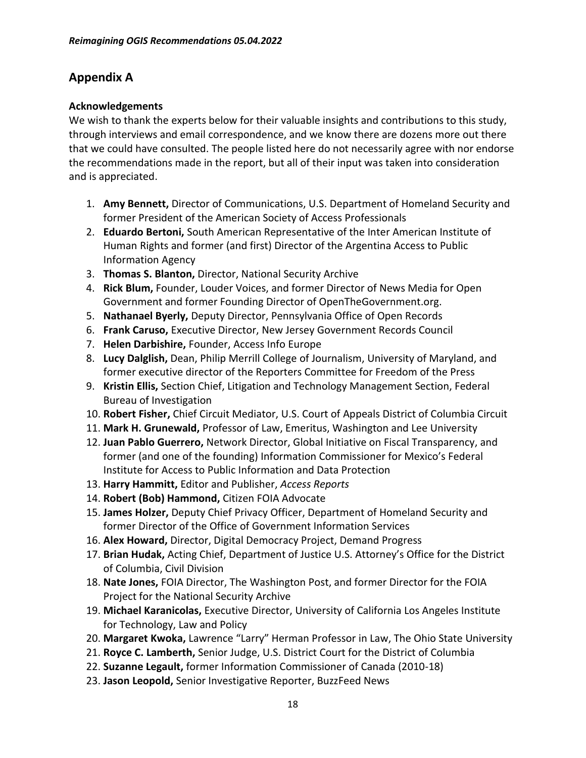# **Appendix A**

#### **Acknowledgements**

We wish to thank the experts below for their valuable insights and contributions to this study, through interviews and email correspondence, and we know there are dozens more out there that we could have consulted. The people listed here do not necessarily agree with nor endorse the recommendations made in the report, but all of their input was taken into consideration and is appreciated.

- 1. **Amy Bennett,** Director of Communications, U.S. Department of Homeland Security and former President of the American Society of Access Professionals
- 2. **Eduardo Bertoni,** South American Representative of the Inter American Institute of Human Rights and former (and first) Director of the Argentina Access to Public Information Agency
- 3. **Thomas S. Blanton,** Director, National Security Archive
- 4. **Rick Blum,** Founder, Louder Voices, and former Director of News Media for Open Government and former Founding Director of OpenTheGovernment.org.
- 5. **Nathanael Byerly,** Deputy Director, Pennsylvania Office of Open Records
- 6. **Frank Caruso,** Executive Director, New Jersey Government Records Council
- 7. **Helen Darbishire,** Founder, Access Info Europe
- 8. **Lucy Dalglish,** Dean, Philip Merrill College of Journalism, University of Maryland, and former executive director of the Reporters Committee for Freedom of the Press
- 9. **Kristin Ellis,** Section Chief, Litigation and Technology Management Section, Federal Bureau of Investigation
- 10. **Robert Fisher,** Chief Circuit Mediator, U.S. Court of Appeals District of Columbia Circuit
- 11. **Mark H. Grunewald,** Professor of Law, Emeritus, Washington and Lee University
- 12. **Juan Pablo Guerrero,** Network Director, Global Initiative on Fiscal Transparency, and former (and one of the founding) Information Commissioner for Mexico's Federal Institute for Access to Public Information and Data Protection
- 13. **Harry Hammitt,** Editor and Publisher, *Access Reports*
- 14. **Robert (Bob) Hammond,** Citizen FOIA Advocate
- 15. **James Holzer,** Deputy Chief Privacy Officer, Department of Homeland Security and former Director of the Office of Government Information Services
- 16. **Alex Howard,** Director, Digital Democracy Project, Demand Progress
- 17. **Brian Hudak,** Acting Chief, Department of Justice U.S. Attorney's Office for the District of Columbia, Civil Division
- 18. **Nate Jones,** FOIA Director, The Washington Post, and former Director for the FOIA Project for the National Security Archive
- 19. **Michael Karanicolas,** Executive Director, University of California Los Angeles Institute for Technology, Law and Policy
- 20. **Margaret Kwoka,** Lawrence "Larry" Herman Professor in Law, The Ohio State University
- 21. **Royce C. Lamberth,** Senior Judge, U.S. District Court for the District of Columbia
- 22. **Suzanne Legault,** former Information Commissioner of Canada (2010-18)
- 23. **Jason Leopold,** Senior Investigative Reporter, BuzzFeed News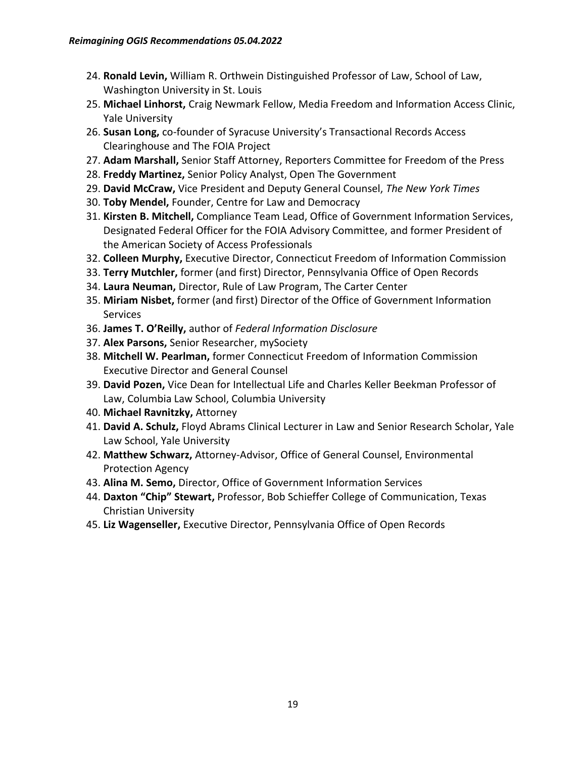- 24. **Ronald Levin,** William R. Orthwein Distinguished Professor of Law, School of Law, Washington University in St. Louis
- 25. **Michael Linhorst,** Craig Newmark Fellow, Media Freedom and Information Access Clinic, Yale University
- 26. **Susan Long,** co-founder of Syracuse University's Transactional Records Access Clearinghouse and The FOIA Project
- 27. **Adam Marshall,** Senior Staff Attorney, Reporters Committee for Freedom of the Press
- 28. **Freddy Martinez,** Senior Policy Analyst, Open The Government
- 29. **David McCraw,** Vice President and Deputy General Counsel, *The New York Times*
- 30. **Toby Mendel,** Founder, Centre for Law and Democracy
- 31. **Kirsten B. Mitchell,** Compliance Team Lead, Office of Government Information Services, Designated Federal Officer for the FOIA Advisory Committee, and former President of the American Society of Access Professionals
- 32. **Colleen Murphy,** Executive Director, Connecticut Freedom of Information Commission
- 33. **Terry Mutchler,** former (and first) Director, Pennsylvania Office of Open Records
- 34. **Laura Neuman,** Director, Rule of Law Program, The Carter Center
- 35. **Miriam Nisbet,** former (and first) Director of the Office of Government Information **Services**
- 36. **James T. O'Reilly,** author of *Federal Information Disclosure*
- 37. **Alex Parsons,** Senior Researcher, mySociety
- 38. **Mitchell W. Pearlman,** former Connecticut Freedom of Information Commission Executive Director and General Counsel
- 39. **David Pozen,** Vice Dean for Intellectual Life and Charles Keller Beekman Professor of Law, Columbia Law School, Columbia University
- 40. **Michael Ravnitzky,** Attorney
- 41. **David A. Schulz,** Floyd Abrams Clinical Lecturer in Law and Senior Research Scholar, Yale Law School, Yale University
- 42. **Matthew Schwarz,** Attorney-Advisor, Office of General Counsel, Environmental Protection Agency
- 43. **Alina M. Semo,** Director, Office of Government Information Services
- 44. **Daxton "Chip" Stewart,** Professor, Bob Schieffer College of Communication, Texas Christian University
- 45. **Liz Wagenseller,** Executive Director, Pennsylvania Office of Open Records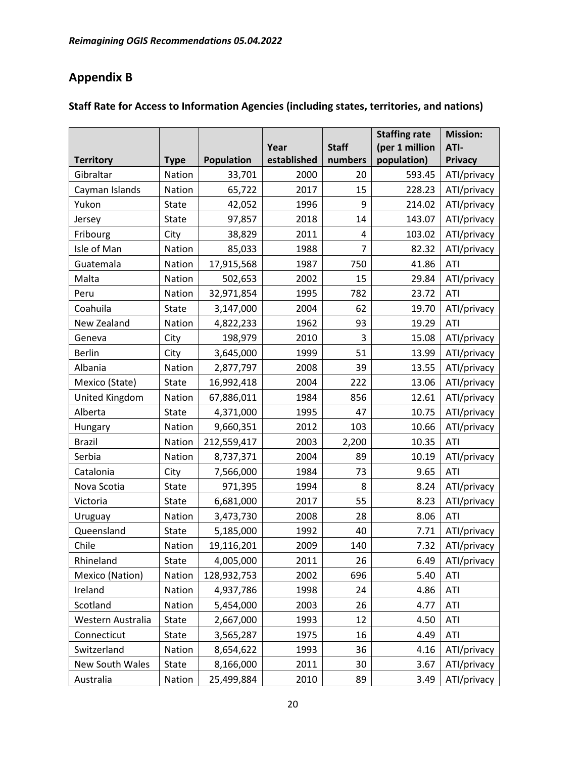# **Appendix B**

|                   |             |             |             |              | <b>Staffing rate</b> | <b>Mission:</b> |
|-------------------|-------------|-------------|-------------|--------------|----------------------|-----------------|
|                   |             |             | Year        | <b>Staff</b> | (per 1 million       | ATI-            |
| <b>Territory</b>  | <b>Type</b> | Population  | established | numbers      | population)          | <b>Privacy</b>  |
| Gibraltar         | Nation      | 33,701      | 2000        | 20           | 593.45               | ATI/privacy     |
| Cayman Islands    | Nation      | 65,722      | 2017        | 15           | 228.23               | ATI/privacy     |
| Yukon             | State       | 42,052      | 1996        | 9            | 214.02               | ATI/privacy     |
| Jersey            | State       | 97,857      | 2018        | 14           | 143.07               | ATI/privacy     |
| Fribourg          | City        | 38,829      | 2011        | 4            | 103.02               | ATI/privacy     |
| Isle of Man       | Nation      | 85,033      | 1988        | 7            | 82.32                | ATI/privacy     |
| Guatemala         | Nation      | 17,915,568  | 1987        | 750          | 41.86                | <b>ATI</b>      |
| Malta             | Nation      | 502,653     | 2002        | 15           | 29.84                | ATI/privacy     |
| Peru              | Nation      | 32,971,854  | 1995        | 782          | 23.72                | ATI             |
| Coahuila          | State       | 3,147,000   | 2004        | 62           | 19.70                | ATI/privacy     |
| New Zealand       | Nation      | 4,822,233   | 1962        | 93           | 19.29                | <b>ATI</b>      |
| Geneva            | City        | 198,979     | 2010        | 3            | 15.08                | ATI/privacy     |
| <b>Berlin</b>     | City        | 3,645,000   | 1999        | 51           | 13.99                | ATI/privacy     |
| Albania           | Nation      | 2,877,797   | 2008        | 39           | 13.55                | ATI/privacy     |
| Mexico (State)    | State       | 16,992,418  | 2004        | 222          | 13.06                | ATI/privacy     |
| United Kingdom    | Nation      | 67,886,011  | 1984        | 856          | 12.61                | ATI/privacy     |
| Alberta           | State       | 4,371,000   | 1995        | 47           | 10.75                | ATI/privacy     |
| Hungary           | Nation      | 9,660,351   | 2012        | 103          | 10.66                | ATI/privacy     |
| <b>Brazil</b>     | Nation      | 212,559,417 | 2003        | 2,200        | 10.35                | ATI             |
| Serbia            | Nation      | 8,737,371   | 2004        | 89           | 10.19                | ATI/privacy     |
| Catalonia         | City        | 7,566,000   | 1984        | 73           | 9.65                 | <b>ATI</b>      |
| Nova Scotia       | State       | 971,395     | 1994        | 8            | 8.24                 | ATI/privacy     |
| Victoria          | State       | 6,681,000   | 2017        | 55           | 8.23                 | ATI/privacy     |
| Uruguay           | Nation      | 3,473,730   | 2008        | 28           | 8.06                 | ATI             |
| Queensland        | State       | 5,185,000   | 1992        | 40           | 7.71                 | ATI/privacy     |
| Chile             | Nation      | 19,116,201  | 2009        | 140          | 7.32                 | ATI/privacy     |
| Rhineland         | State       | 4,005,000   | 2011        | 26           | 6.49                 | ATI/privacy     |
| Mexico (Nation)   | Nation      | 128,932,753 | 2002        | 696          | 5.40                 | ATI             |
| Ireland           | Nation      | 4,937,786   | 1998        | 24           | 4.86                 | ATI             |
| Scotland          | Nation      | 5,454,000   | 2003        | 26           | 4.77                 | ATI             |
| Western Australia | State       | 2,667,000   | 1993        | 12           | 4.50                 | ATI             |
| Connecticut       | State       | 3,565,287   | 1975        | 16           | 4.49                 | ATI             |
| Switzerland       | Nation      | 8,654,622   | 1993        | 36           | 4.16                 | ATI/privacy     |
| New South Wales   | State       | 8,166,000   | 2011        | 30           | 3.67                 | ATI/privacy     |
| Australia         | Nation      | 25,499,884  | 2010        | 89           | 3.49                 | ATI/privacy     |

#### **Staff Rate for Access to Information Agencies (including states, territories, and nations)**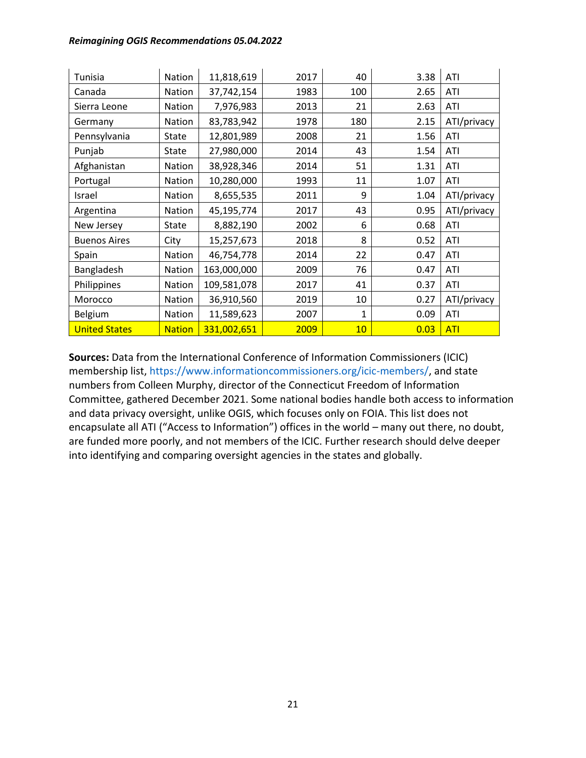#### *Reimagining OGIS Recommendations 05.04.2022*

| Tunisia              | Nation        | 11,818,619  | 2017 | 40  | 3.38 | ATI         |
|----------------------|---------------|-------------|------|-----|------|-------------|
| Canada               | Nation        | 37,742,154  | 1983 | 100 | 2.65 | ATI         |
| Sierra Leone         | Nation        | 7,976,983   | 2013 | 21  | 2.63 | ATI         |
| Germany              | Nation        | 83,783,942  | 1978 | 180 | 2.15 | ATI/privacy |
| Pennsylvania         | State         | 12,801,989  | 2008 | 21  | 1.56 | ATI         |
| Punjab               | State         | 27,980,000  | 2014 | 43  | 1.54 | ATI         |
| Afghanistan          | Nation        | 38,928,346  | 2014 | 51  | 1.31 | ATI         |
| Portugal             | Nation        | 10,280,000  | 1993 | 11  | 1.07 | ATI         |
| Israel               | Nation        | 8,655,535   | 2011 | 9   | 1.04 | ATI/privacy |
| Argentina            | Nation        | 45,195,774  | 2017 | 43  | 0.95 | ATI/privacy |
| New Jersey           | <b>State</b>  | 8,882,190   | 2002 | 6   | 0.68 | ATI         |
| <b>Buenos Aires</b>  | City          | 15,257,673  | 2018 | 8   | 0.52 | ATI         |
| Spain                | Nation        | 46,754,778  | 2014 | 22  | 0.47 | ATI         |
| Bangladesh           | Nation        | 163,000,000 | 2009 | 76  | 0.47 | ATI         |
| Philippines          | Nation        | 109,581,078 | 2017 | 41  | 0.37 | ATI         |
| Morocco              | Nation        | 36,910,560  | 2019 | 10  | 0.27 | ATI/privacy |
| Belgium              | Nation        | 11,589,623  | 2007 | 1   | 0.09 | ATI         |
| <b>United States</b> | <b>Nation</b> | 331,002,651 | 2009 | 10  | 0.03 | <b>ATI</b>  |

**Sources:** Data from the International Conference of Information Commissioners (ICIC) membership list, [https://www.informationcommissioners.org/icic-members/,](https://www.informationcommissioners.org/icic-members/) and state numbers from Colleen Murphy, director of the Connecticut Freedom of Information Committee, gathered December 2021. Some national bodies handle both access to information and data privacy oversight, unlike OGIS, which focuses only on FOIA. This list does not encapsulate all ATI ("Access to Information") offices in the world – many out there, no doubt, are funded more poorly, and not members of the ICIC. Further research should delve deeper into identifying and comparing oversight agencies in the states and globally.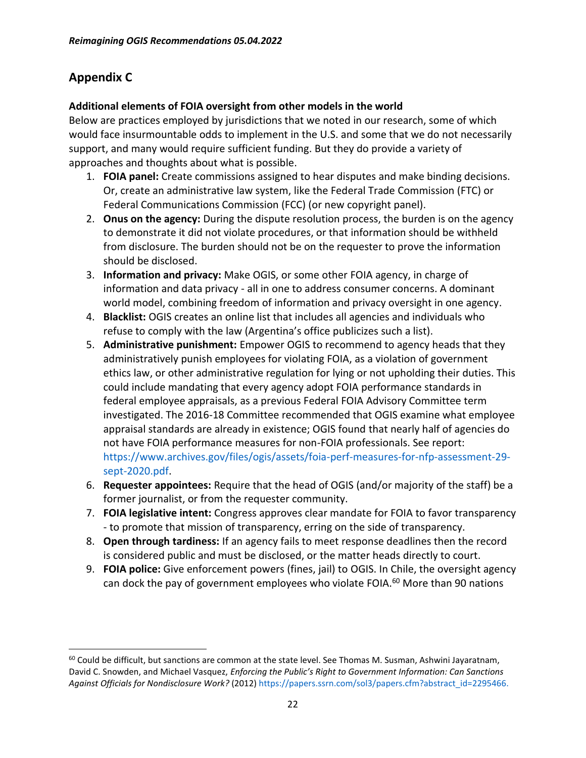# **Appendix C**

#### **Additional elements of FOIA oversight from other models in the world**

Below are practices employed by jurisdictions that we noted in our research, some of which would face insurmountable odds to implement in the U.S. and some that we do not necessarily support, and many would require sufficient funding. But they do provide a variety of approaches and thoughts about what is possible.

- 1. **FOIA panel:** Create commissions assigned to hear disputes and make binding decisions. Or, create an administrative law system, like the Federal Trade Commission (FTC) or Federal Communications Commission (FCC) (or new copyright panel).
- 2. **Onus on the agency:** During the dispute resolution process, the burden is on the agency to demonstrate it did not violate procedures, or that information should be withheld from disclosure. The burden should not be on the requester to prove the information should be disclosed.
- 3. **Information and privacy:** Make OGIS, or some other FOIA agency, in charge of information and data privacy - all in one to address consumer concerns. A dominant world model, combining freedom of information and privacy oversight in one agency.
- 4. **Blacklist:** OGIS creates an online list that includes all agencies and individuals who refuse to comply with the law (Argentina's office publicizes such a list).
- 5. **Administrative punishment:** Empower OGIS to recommend to agency heads that they administratively punish employees for violating FOIA, as a violation of government ethics law, or other administrative regulation for lying or not upholding their duties. This could include mandating that every agency adopt FOIA performance standards in federal employee appraisals, as a previous Federal FOIA Advisory Committee term investigated. The 2016-18 Committee recommended that OGIS examine what employee appraisal standards are already in existence; OGIS found that nearly half of agencies do not have FOIA performance measures for non-FOIA professionals. See report: [https://www.archives.gov/files/ogis/assets/foia-perf-measures-for-nfp-assessment-29](https://www.archives.gov/files/ogis/assets/foia-perf-measures-for-nfp-assessment-29-sept-2020.pdf) [sept-2020.pdf.](https://www.archives.gov/files/ogis/assets/foia-perf-measures-for-nfp-assessment-29-sept-2020.pdf)
- 6. **Requester appointees:** Require that the head of OGIS (and/or majority of the staff) be a former journalist, or from the requester community.
- 7. **FOIA legislative intent:** Congress approves clear mandate for FOIA to favor transparency - to promote that mission of transparency, erring on the side of transparency.
- 8. **Open through tardiness:** If an agency fails to meet response deadlines then the record is considered public and must be disclosed, or the matter heads directly to court.
- 9. **FOIA police:** Give enforcement powers (fines, jail) to OGIS. In Chile, the oversight agency can dock the pay of government employees who violate FOIA.<sup>60</sup> More than 90 nations

 $60$  Could be difficult, but sanctions are common at the state level. See Thomas M. Susman, Ashwini Jayaratnam, David C. Snowden, and Michael Vasquez, *Enforcing the Public's Right to Government Information: Can Sanctions Against Officials for Nondisclosure Work?* (2012[\) https://papers.ssrn.com/sol3/papers.cfm?abstract\\_id=2295466.](https://papers.ssrn.com/sol3/papers.cfm?abstract_id=2295466)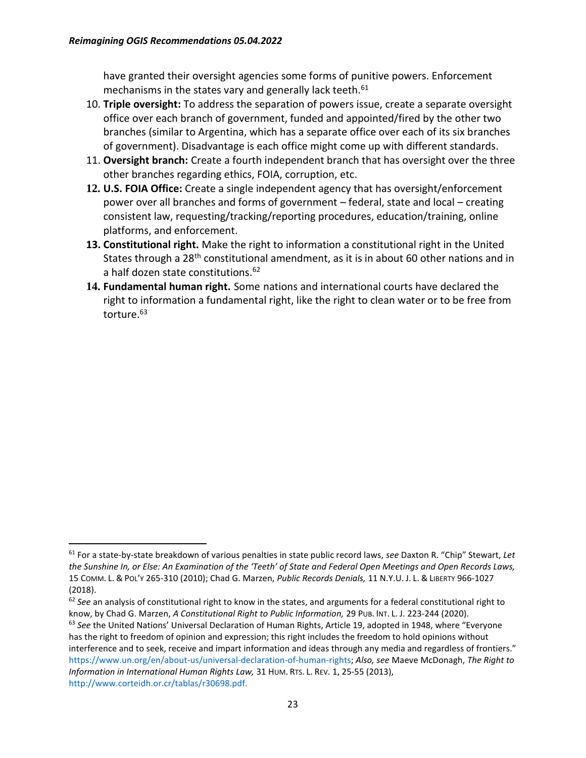have granted their oversight agencies some forms of punitive powers. Enforcement mechanisms in the states vary and generally lack teeth.<sup>61</sup>

- 10. **Triple oversight:** To address the separation of powers issue, create a separate oversight office over each branch of government, funded and appointed/fired by the other two branches (similar to Argentina, which has a separate office over each of its six branches of government). Disadvantage is each office might come up with different standards.
- 11. **Oversight branch:** Create a fourth independent branch that has oversight over the three other branches regarding ethics, FOIA, corruption, etc.
- **12. U.S. FOIA Office:** Create a single independent agency that has oversight/enforcement power over all branches and forms of government – federal, state and local – creating consistent law, requesting/tracking/reporting procedures, education/training, online platforms, and enforcement.
- **13. Constitutional right.** Make the right to information a constitutional right in the United States through a 28<sup>th</sup> constitutional amendment, as it is in about 60 other nations and in a half dozen state constitutions.<sup>62</sup>
- **14. Fundamental human right.** Some nations and international courts have declared the right to information a fundamental right, like the right to clean water or to be free from torture.<sup>63</sup>

<sup>62</sup> *See* an analysis of constitutional right to know in the states, and arguments for a federal constitutional right to know, by Chad G. Marzen, *A Constitutional Right to Public Information,* 29 PUB. INT. L. J. 223-244 (2020). <sup>63</sup> *See* the United Nations' Universal Declaration of Human Rights, Article 19, adopted in 1948, where "Everyone

<sup>61</sup> For a state-by-state breakdown of various penalties in state public record laws, *see* Daxton R. "Chip" Stewart, *Let the Sunshine In, or Else: An Examination of the 'Teeth' of State and Federal Open Meetings and Open Records Laws,*  15 COMM. L. & POL'Y 265-310 (2010); Chad G. Marzen, *Public Records Denials,* 11 N.Y.U. J. L. & LIBERTY 966-1027 (2018).

has the right to freedom of opinion and expression; this right includes the freedom to hold opinions without interference and to seek, receive and impart information and ideas through any media and regardless of frontiers." [https://www.un.org/en/about-us/universal-declaration-of-human-rights;](https://www.un.org/en/about-us/universal-declaration-of-human-rights) *Also, see* Maeve McDonagh, *The Right to Information in International Human Rights Law,* 31 HUM. RTS. L. REV. 1, 25-55 (2013), <http://www.corteidh.or.cr/tablas/r30698.pdf.>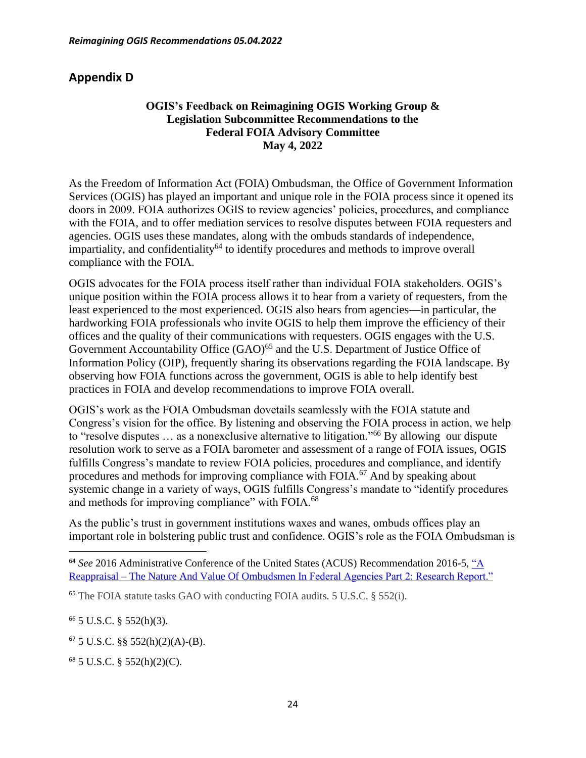# **Appendix D**

#### **OGIS's Feedback on Reimagining OGIS Working Group & Legislation Subcommittee Recommendations to the Federal FOIA Advisory Committee May 4, 2022**

As the Freedom of Information Act (FOIA) Ombudsman, the Office of Government Information Services (OGIS) has played an important and unique role in the FOIA process since it opened its doors in 2009. FOIA authorizes OGIS to review agencies' policies, procedures, and compliance with the FOIA, and to offer mediation services to resolve disputes between FOIA requesters and agencies. OGIS uses these mandates, along with the ombuds standards of independence, impartiality, and confidentiality<sup>64</sup> to identify procedures and methods to improve overall compliance with the FOIA.

OGIS advocates for the FOIA process itself rather than individual FOIA stakeholders. OGIS's unique position within the FOIA process allows it to hear from a variety of requesters, from the least experienced to the most experienced. OGIS also hears from agencies—in particular, the hardworking FOIA professionals who invite OGIS to help them improve the efficiency of their offices and the quality of their communications with requesters. OGIS engages with the U.S. Government Accountability Office  $(GAO)^{65}$  and the U.S. Department of Justice Office of Information Policy (OIP), frequently sharing its observations regarding the FOIA landscape. By observing how FOIA functions across the government, OGIS is able to help identify best practices in FOIA and develop recommendations to improve FOIA overall.

OGIS's work as the FOIA Ombudsman dovetails seamlessly with the FOIA statute and Congress's vision for the office. By listening and observing the FOIA process in action, we help to "resolve disputes … as a nonexclusive alternative to litigation."<sup>66</sup> By allowing our dispute resolution work to serve as a FOIA barometer and assessment of a range of FOIA issues, OGIS fulfills Congress's mandate to review FOIA policies, procedures and compliance, and identify procedures and methods for improving compliance with FOIA.<sup>67</sup> And by speaking about systemic change in a variety of ways, OGIS fulfills Congress's mandate to "identify procedures and methods for improving compliance" with FOIA.<sup>68</sup>

As the public's trust in government institutions waxes and wanes, ombuds offices play an important role in bolstering public trust and confidence. OGIS's role as the FOIA Ombudsman is

 $66$  5 U.S.C. § 552(h)(3).

<sup>67</sup> 5 U.S.C. §§ 552(h)(2)(A)-(B).

 $68$  5 U.S.C. § 552(h)(2)(C).

<sup>&</sup>lt;sup>64</sup> See 2016 Administrative Conference of the United States (ACUS) Recommendation 2016-5, "A Reappraisal – [The Nature And Value Of Ombudsmen In Federal Agencies Part 2: Research Report."](https://www.acus.gov/sites/default/files/documents/PART%202_Research%20Final%20%20%2011.14.16%20%28ACUS%29.pdf)

<sup>65</sup> The FOIA statute tasks GAO with conducting FOIA audits. 5 U.S.C. § 552(i).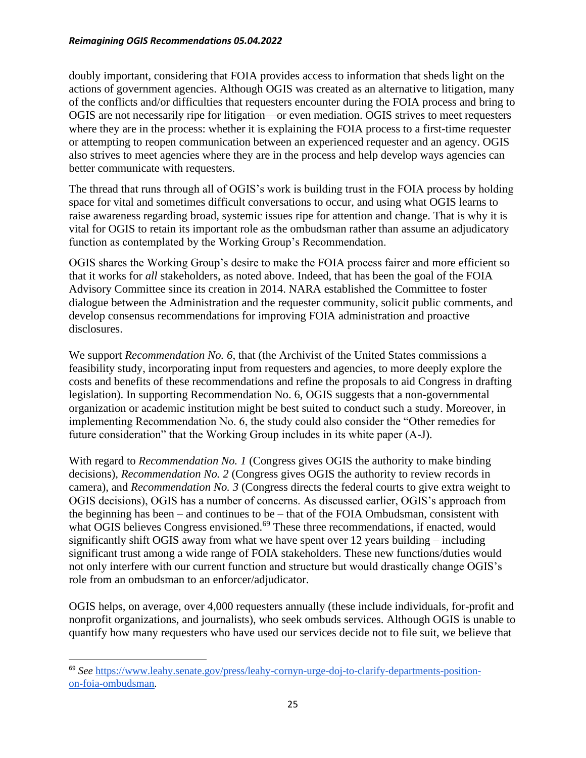#### *Reimagining OGIS Recommendations 05.04.2022*

doubly important, considering that FOIA provides access to information that sheds light on the actions of government agencies. Although OGIS was created as an alternative to litigation, many of the conflicts and/or difficulties that requesters encounter during the FOIA process and bring to OGIS are not necessarily ripe for litigation—or even mediation. OGIS strives to meet requesters where they are in the process: whether it is explaining the FOIA process to a first-time requester or attempting to reopen communication between an experienced requester and an agency. OGIS also strives to meet agencies where they are in the process and help develop ways agencies can better communicate with requesters.

The thread that runs through all of OGIS's work is building trust in the FOIA process by holding space for vital and sometimes difficult conversations to occur, and using what OGIS learns to raise awareness regarding broad, systemic issues ripe for attention and change. That is why it is vital for OGIS to retain its important role as the ombudsman rather than assume an adjudicatory function as contemplated by the Working Group's Recommendation.

OGIS shares the Working Group's desire to make the FOIA process fairer and more efficient so that it works for *all* stakeholders, as noted above. Indeed, that has been the goal of the FOIA Advisory Committee since its creation in 2014. NARA established the Committee to foster dialogue between the Administration and the requester community, solicit public comments, and develop consensus recommendations for improving FOIA administration and proactive disclosures.

We support *Recommendation No. 6*, that (the Archivist of the United States commissions a feasibility study, incorporating input from requesters and agencies, to more deeply explore the costs and benefits of these recommendations and refine the proposals to aid Congress in drafting legislation). In supporting Recommendation No. 6, OGIS suggests that a non-governmental organization or academic institution might be best suited to conduct such a study. Moreover, in implementing Recommendation No. 6, the study could also consider the "Other remedies for future consideration" that the Working Group includes in its white paper (A-J).

With regard to *Recommendation No. 1* (Congress gives OGIS the authority to make binding decisions), *Recommendation No. 2* (Congress gives OGIS the authority to review records in camera), and *Recommendation No. 3* (Congress directs the federal courts to give extra weight to OGIS decisions), OGIS has a number of concerns. As discussed earlier, OGIS's approach from the beginning has been – and continues to be – that of the FOIA Ombudsman, consistent with what OGIS believes Congress envisioned.<sup>69</sup> These three recommendations, if enacted, would significantly shift OGIS away from what we have spent over 12 years building – including significant trust among a wide range of FOIA stakeholders. These new functions/duties would not only interfere with our current function and structure but would drastically change OGIS's role from an ombudsman to an enforcer/adjudicator.

OGIS helps, on average, over 4,000 requesters annually (these include individuals, for-profit and nonprofit organizations, and journalists), who seek ombuds services. Although OGIS is unable to quantify how many requesters who have used our services decide not to file suit, we believe that

<sup>69</sup> *See* [https://www.leahy.senate.gov/press/leahy-cornyn-urge-doj-to-clarify-departments-position](https://www.leahy.senate.gov/press/leahy-cornyn-urge-doj-to-clarify-departments-position-on-foia-ombudsman)[on-foia-ombudsman.](https://www.leahy.senate.gov/press/leahy-cornyn-urge-doj-to-clarify-departments-position-on-foia-ombudsman)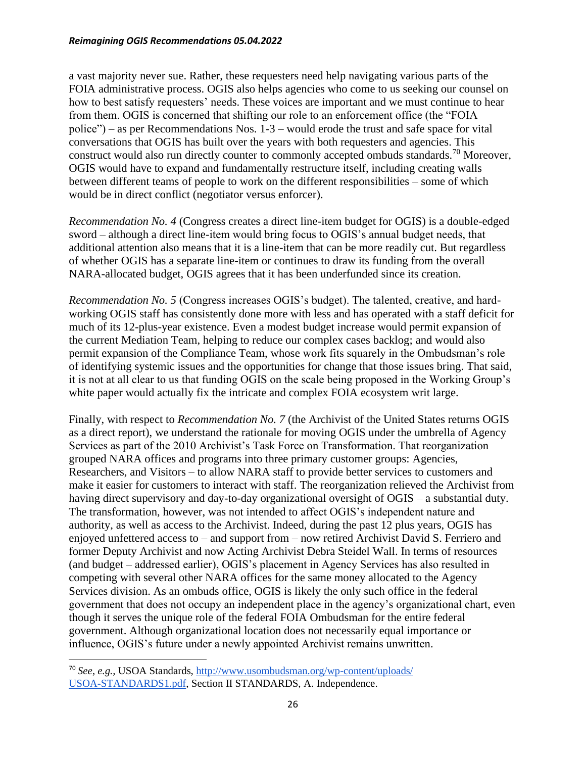#### *Reimagining OGIS Recommendations 05.04.2022*

a vast majority never sue. Rather, these requesters need help navigating various parts of the FOIA administrative process. OGIS also helps agencies who come to us seeking our counsel on how to best satisfy requesters' needs. These voices are important and we must continue to hear from them. OGIS is concerned that shifting our role to an enforcement office (the "FOIA police") – as per Recommendations Nos. 1-3 – would erode the trust and safe space for vital conversations that OGIS has built over the years with both requesters and agencies. This construct would also run directly counter to commonly accepted ombuds standards.<sup>70</sup> Moreover, OGIS would have to expand and fundamentally restructure itself, including creating walls between different teams of people to work on the different responsibilities – some of which would be in direct conflict (negotiator versus enforcer).

*Recommendation No. 4* (Congress creates a direct line-item budget for OGIS) is a double-edged sword – although a direct line-item would bring focus to OGIS's annual budget needs, that additional attention also means that it is a line-item that can be more readily cut. But regardless of whether OGIS has a separate line-item or continues to draw its funding from the overall NARA-allocated budget, OGIS agrees that it has been underfunded since its creation.

*Recommendation No. 5* (Congress increases OGIS's budget). The talented, creative, and hardworking OGIS staff has consistently done more with less and has operated with a staff deficit for much of its 12-plus-year existence. Even a modest budget increase would permit expansion of the current Mediation Team, helping to reduce our complex cases backlog; and would also permit expansion of the Compliance Team, whose work fits squarely in the Ombudsman's role of identifying systemic issues and the opportunities for change that those issues bring. That said, it is not at all clear to us that funding OGIS on the scale being proposed in the Working Group's white paper would actually fix the intricate and complex FOIA ecosystem writ large.

Finally, with respect to *Recommendation No. 7* (the Archivist of the United States returns OGIS as a direct report), we understand the rationale for moving OGIS under the umbrella of Agency Services as part of the 2010 Archivist's Task Force on Transformation. That reorganization grouped NARA offices and programs into three primary customer groups: Agencies, Researchers, and Visitors – to allow NARA staff to provide better services to customers and make it easier for customers to interact with staff. The reorganization relieved the Archivist from having direct supervisory and day-to-day organizational oversight of OGIS – a substantial duty. The transformation, however, was not intended to affect OGIS's independent nature and authority, as well as access to the Archivist. Indeed, during the past 12 plus years, OGIS has enjoyed unfettered access to – and support from – now retired Archivist David S. Ferriero and former Deputy Archivist and now Acting Archivist Debra Steidel Wall. In terms of resources (and budget – addressed earlier), OGIS's placement in Agency Services has also resulted in competing with several other NARA offices for the same money allocated to the Agency Services division. As an ombuds office, OGIS is likely the only such office in the federal government that does not occupy an independent place in the agency's organizational chart, even though it serves the unique role of the federal FOIA Ombudsman for the entire federal government. Although organizational location does not necessarily equal importance or influence, OGIS's future under a newly appointed Archivist remains unwritten.

<sup>70</sup> *See*, *e.g.,* USOA Standards, [http://www.usombudsman.org/wp-content/uploads/](http://www.usombudsman.org/wp-content/uploads/USOA-STANDARDS1.pdf) [USOA-STANDARDS1.pdf,](http://www.usombudsman.org/wp-content/uploads/USOA-STANDARDS1.pdf) Section II STANDARDS, A. Independence.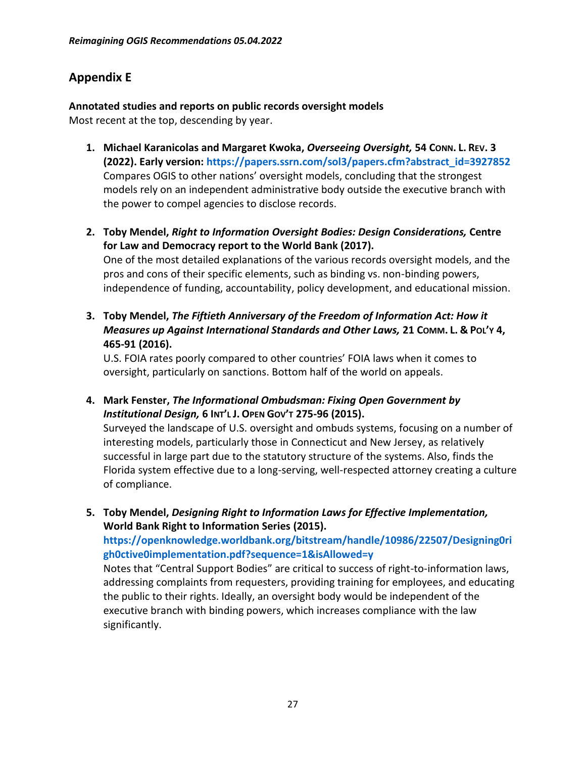# **Appendix E**

**Annotated studies and reports on public records oversight models** Most recent at the top, descending by year.

- **1. Michael Karanicolas and Margaret Kwoka,** *Overseeing Oversight,* **54 CONN. L. REV. 3 (2022). Early version[: https://papers.ssrn.com/sol3/papers.cfm?abstract\\_id=3927852](https://papers.ssrn.com/sol3/papers.cfm?abstract_id=3927852)** Compares OGIS to other nations' oversight models, concluding that the strongest models rely on an independent administrative body outside the executive branch with the power to compel agencies to disclose records.
- **2. Toby Mendel,** *Right to Information Oversight Bodies: Design Considerations,* **Centre for Law and Democracy report to the World Bank (2017).**

One of the most detailed explanations of the various records oversight models, and the pros and cons of their specific elements, such as binding vs. non-binding powers, independence of funding, accountability, policy development, and educational mission.

**3. Toby Mendel,** *The Fiftieth Anniversary of the Freedom of Information Act: How it Measures up Against International Standards and Other Laws,* **21 COMM. L. & POL'Y 4, 465-91 (2016).**

U.S. FOIA rates poorly compared to other countries' FOIA laws when it comes to oversight, particularly on sanctions. Bottom half of the world on appeals.

**4. Mark Fenster,** *The Informational Ombudsman: Fixing Open Government by Institutional Design,* **6 INT'L J. OPEN GOV'T 275-96 (2015).**

Surveyed the landscape of U.S. oversight and ombuds systems, focusing on a number of interesting models, particularly those in Connecticut and New Jersey, as relatively successful in large part due to the statutory structure of the systems. Also, finds the Florida system effective due to a long-serving, well-respected attorney creating a culture of compliance.

**5. Toby Mendel,** *Designing Right to Information Laws for Effective Implementation,* **World Bank Right to Information Series (2015).** 

**[https://openknowledge.worldbank.org/bitstream/handle/10986/22507/Designing0ri](https://openknowledge.worldbank.org/bitstream/handle/10986/22507/Designing0righ0ctive0implementation.pdf?sequence=1&isAllowed=y) [gh0ctive0implementation.pdf?sequence=1&isAllowed=y](https://openknowledge.worldbank.org/bitstream/handle/10986/22507/Designing0righ0ctive0implementation.pdf?sequence=1&isAllowed=y)**

Notes that "Central Support Bodies" are critical to success of right-to-information laws, addressing complaints from requesters, providing training for employees, and educating the public to their rights. Ideally, an oversight body would be independent of the executive branch with binding powers, which increases compliance with the law significantly.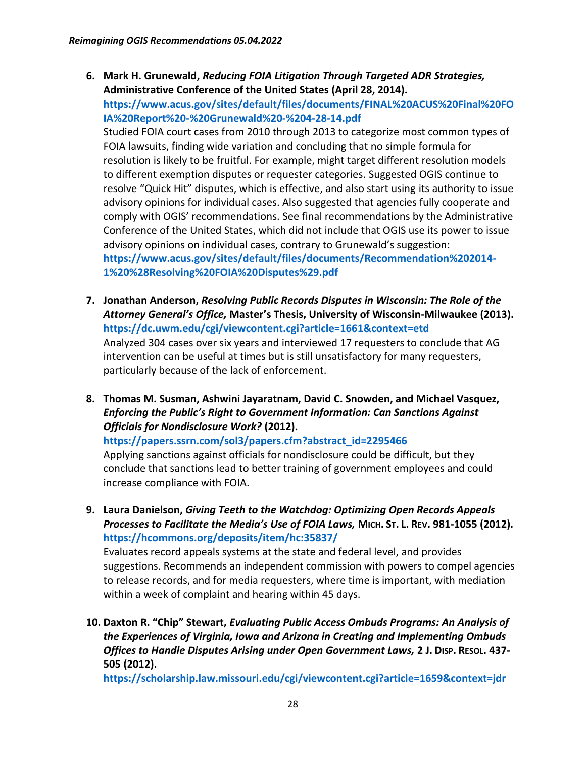**6. Mark H. Grunewald,** *Reducing FOIA Litigation Through Targeted ADR Strategies,* **Administrative Conference of the United States (April 28, 2014).** 

**[https://www.acus.gov/sites/default/files/documents/FINAL%20ACUS%20Final%20FO](https://www.acus.gov/sites/default/files/documents/FINAL%20ACUS%20Final%20FOIA%20Report%20-%20Grunewald%20-%204-28-14.pdf) [IA%20Report%20-%20Grunewald%20-%204-28-14.pdf](https://www.acus.gov/sites/default/files/documents/FINAL%20ACUS%20Final%20FOIA%20Report%20-%20Grunewald%20-%204-28-14.pdf)**

Studied FOIA court cases from 2010 through 2013 to categorize most common types of FOIA lawsuits, finding wide variation and concluding that no simple formula for resolution is likely to be fruitful. For example, might target different resolution models to different exemption disputes or requester categories. Suggested OGIS continue to resolve "Quick Hit" disputes, which is effective, and also start using its authority to issue advisory opinions for individual cases. Also suggested that agencies fully cooperate and comply with OGIS' recommendations. See final recommendations by the Administrative Conference of the United States, which did not include that OGIS use its power to issue advisory opinions on individual cases, contrary to Grunewald's suggestion: **[https://www.acus.gov/sites/default/files/documents/Recommendation%202014-](https://www.acus.gov/sites/default/files/documents/Recommendation%202014-1%20%28Resolving%20FOIA%20Disputes%29.pdf) [1%20%28Resolving%20FOIA%20Disputes%29.pdf](https://www.acus.gov/sites/default/files/documents/Recommendation%202014-1%20%28Resolving%20FOIA%20Disputes%29.pdf)**

- **7. Jonathan Anderson,** *Resolving Public Records Disputes in Wisconsin: The Role of the Attorney General's Office,* **Master's Thesis, University of Wisconsin-Milwaukee (2013). <https://dc.uwm.edu/cgi/viewcontent.cgi?article=1661&context=etd>** Analyzed 304 cases over six years and interviewed 17 requesters to conclude that AG intervention can be useful at times but is still unsatisfactory for many requesters, particularly because of the lack of enforcement.
- **8. Thomas M. Susman, Ashwini Jayaratnam, David C. Snowden, and Michael Vasquez,**  *Enforcing the Public's Right to Government Information: Can Sanctions Against Officials for Nondisclosure Work?* **(2012).**

**[https://papers.ssrn.com/sol3/papers.cfm?abstract\\_id=2295466](https://papers.ssrn.com/sol3/papers.cfm?abstract_id=2295466)**

Applying sanctions against officials for nondisclosure could be difficult, but they conclude that sanctions lead to better training of government employees and could increase compliance with FOIA.

**9. Laura Danielson,** *Giving Teeth to the Watchdog: Optimizing Open Records Appeals Processes to Facilitate the Media's Use of FOIA Laws,* **MICH. ST. L. REV. 981-1055 (2012). <https://hcommons.org/deposits/item/hc:35837/>**

Evaluates record appeals systems at the state and federal level, and provides suggestions. Recommends an independent commission with powers to compel agencies to release records, and for media requesters, where time is important, with mediation within a week of complaint and hearing within 45 days.

**10. Daxton R. "Chip" Stewart,** *Evaluating Public Access Ombuds Programs: An Analysis of the Experiences of Virginia, Iowa and Arizona in Creating and Implementing Ombuds Offices to Handle Disputes Arising under Open Government Laws,* **2 J. DISP. RESOL. 437- 505 (2012).** 

**<https://scholarship.law.missouri.edu/cgi/viewcontent.cgi?article=1659&context=jdr>**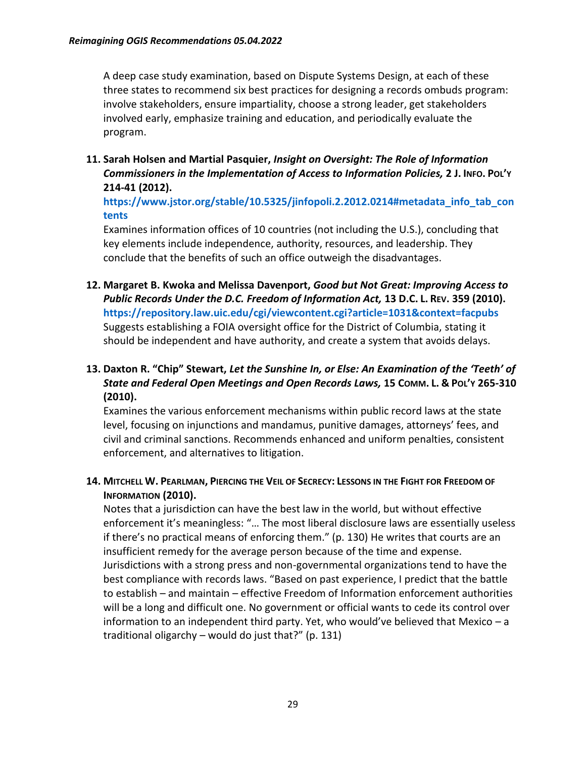A deep case study examination, based on Dispute Systems Design, at each of these three states to recommend six best practices for designing a records ombuds program: involve stakeholders, ensure impartiality, choose a strong leader, get stakeholders involved early, emphasize training and education, and periodically evaluate the program.

**11. Sarah Holsen and Martial Pasquier,** *Insight on Oversight: The Role of Information Commissioners in the Implementation of Access to Information Policies,* **2 J. INFO. POL'Y 214-41 (2012).**

**[https://www.jstor.org/stable/10.5325/jinfopoli.2.2012.0214#metadata\\_info\\_tab\\_con](https://www.jstor.org/stable/10.5325/jinfopoli.2.2012.0214#metadata_info_tab_contents) [tents](https://www.jstor.org/stable/10.5325/jinfopoli.2.2012.0214#metadata_info_tab_contents)**

Examines information offices of 10 countries (not including the U.S.), concluding that key elements include independence, authority, resources, and leadership. They conclude that the benefits of such an office outweigh the disadvantages.

**12. Margaret B. Kwoka and Melissa Davenport,** *Good but Not Great: Improving Access to Public Records Under the D.C. Freedom of Information Act,* **13 D.C. L. REV. 359 (2010). <https://repository.law.uic.edu/cgi/viewcontent.cgi?article=1031&context=facpubs>** Suggests establishing a FOIA oversight office for the District of Columbia, stating it should be independent and have authority, and create a system that avoids delays.

#### **13. Daxton R. "Chip" Stewart,** *Let the Sunshine In, or Else: An Examination of the 'Teeth' of State and Federal Open Meetings and Open Records Laws,* **15 COMM. L. & POL'Y 265-310 (2010).**

Examines the various enforcement mechanisms within public record laws at the state level, focusing on injunctions and mandamus, punitive damages, attorneys' fees, and civil and criminal sanctions. Recommends enhanced and uniform penalties, consistent enforcement, and alternatives to litigation.

14. MITCHELL W. PEARLMAN, PIERCING THE VEIL OF SECRECY: LESSONS IN THE FIGHT FOR FREEDOM OF **INFORMATION (2010).**

Notes that a jurisdiction can have the best law in the world, but without effective enforcement it's meaningless: "… The most liberal disclosure laws are essentially useless if there's no practical means of enforcing them." (p. 130) He writes that courts are an insufficient remedy for the average person because of the time and expense. Jurisdictions with a strong press and non-governmental organizations tend to have the best compliance with records laws. "Based on past experience, I predict that the battle to establish – and maintain – effective Freedom of Information enforcement authorities will be a long and difficult one. No government or official wants to cede its control over information to an independent third party. Yet, who would've believed that Mexico – a traditional oligarchy – would do just that?" (p. 131)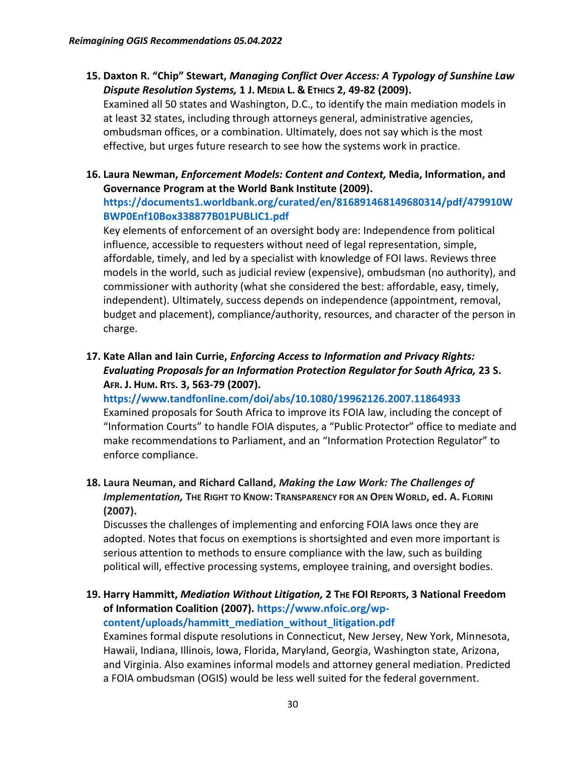**15. Daxton R. "Chip" Stewart,** *Managing Conflict Over Access: A Typology of Sunshine Law Dispute Resolution Systems,* **1 J. MEDIA L. & ETHICS 2, 49-82 (2009).**

Examined all 50 states and Washington, D.C., to identify the main mediation models in at least 32 states, including through attorneys general, administrative agencies, ombudsman offices, or a combination. Ultimately, does not say which is the most effective, but urges future research to see how the systems work in practice.

**16. Laura Newman,** *Enforcement Models: Content and Context,* **Media, Information, and Governance Program at the World Bank Institute (2009). [https://documents1.worldbank.org/curated/en/816891468149680314/pdf/479910W](https://documents1.worldbank.org/curated/en/816891468149680314/pdf/479910WBWP0Enf10Box338877B01PUBLIC1.pdf) [BWP0Enf10Box338877B01PUBLIC1.pdf](https://documents1.worldbank.org/curated/en/816891468149680314/pdf/479910WBWP0Enf10Box338877B01PUBLIC1.pdf)**

Key elements of enforcement of an oversight body are: Independence from political influence, accessible to requesters without need of legal representation, simple, affordable, timely, and led by a specialist with knowledge of FOI laws. Reviews three models in the world, such as judicial review (expensive), ombudsman (no authority), and commissioner with authority (what she considered the best: affordable, easy, timely, independent). Ultimately, success depends on independence (appointment, removal, budget and placement), compliance/authority, resources, and character of the person in charge.

**17. Kate Allan and Iain Currie,** *Enforcing Access to Information and Privacy Rights: Evaluating Proposals for an Information Protection Regulator for South Africa,* **23 S. AFR. J. HUM. RTS. 3, 563-79 (2007).**

**<https://www.tandfonline.com/doi/abs/10.1080/19962126.2007.11864933>** Examined proposals for South Africa to improve its FOIA law, including the concept of "Information Courts" to handle FOIA disputes, a "Public Protector" office to mediate and make recommendations to Parliament, and an "Information Protection Regulator" to enforce compliance.

**18. Laura Neuman, and Richard Calland,** *Making the Law Work: The Challenges of Implementation,* **THE RIGHT TO KNOW: TRANSPARENCY FOR AN OPEN WORLD, ed. A. FLORINI (2007).**

Discusses the challenges of implementing and enforcing FOIA laws once they are adopted. Notes that focus on exemptions is shortsighted and even more important is serious attention to methods to ensure compliance with the law, such as building political will, effective processing systems, employee training, and oversight bodies.

**19. Harry Hammitt,** *Mediation Without Litigation,* **2 THE FOI REPORTS, 3 National Freedom of Information Coalition (2007). [https://www.nfoic.org/wp](https://www.nfoic.org/wp-content/uploads/hammitt_mediation_without_litigation.pdf)[content/uploads/hammitt\\_mediation\\_without\\_litigation.pdf](https://www.nfoic.org/wp-content/uploads/hammitt_mediation_without_litigation.pdf)**

Examines formal dispute resolutions in Connecticut, New Jersey, New York, Minnesota, Hawaii, Indiana, Illinois, Iowa, Florida, Maryland, Georgia, Washington state, Arizona, and Virginia. Also examines informal models and attorney general mediation. Predicted a FOIA ombudsman (OGIS) would be less well suited for the federal government.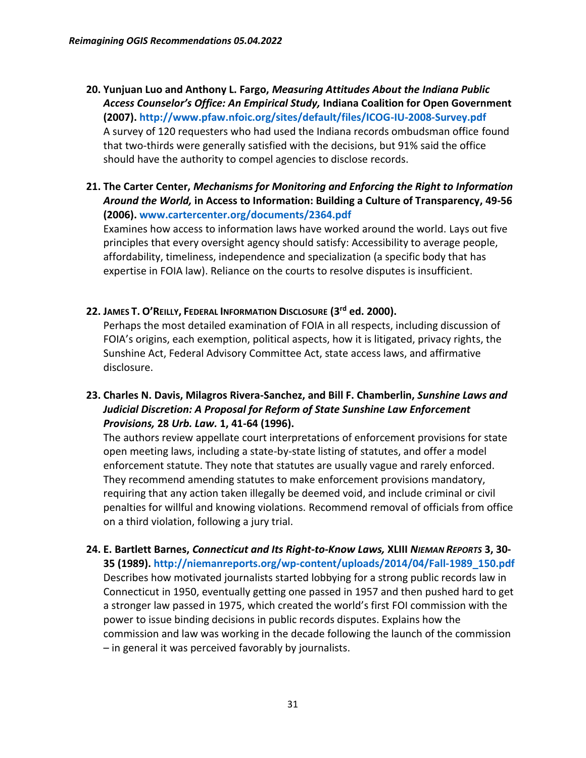- **20. Yunjuan Luo and Anthony L. Fargo,** *Measuring Attitudes About the Indiana Public Access Counselor's Office: An Empirical Study,* **Indiana Coalition for Open Government (2007)[. http://www.pfaw.nfoic.org/sites/default/files/ICOG-IU-2008-Survey.pdf](http://www.pfaw.nfoic.org/sites/default/files/ICOG-IU-2008-Survey.pdf)** A survey of 120 requesters who had used the Indiana records ombudsman office found that two-thirds were generally satisfied with the decisions, but 91% said the office should have the authority to compel agencies to disclose records.
- **21. The Carter Center,** *Mechanisms for Monitoring and Enforcing the Right to Information Around the World,* **in Access to Information: Building a Culture of Transparency, 49-56 (2006)[. www.cartercenter.org/documents/2364.pdf](http://www.cartercenter.org/documents/2364.pdf)**

Examines how access to information laws have worked around the world. Lays out five principles that every oversight agency should satisfy: Accessibility to average people, affordability, timeliness, independence and specialization (a specific body that has expertise in FOIA law). Reliance on the courts to resolve disputes is insufficient.

#### **22. JAMES T. O'REILLY, FEDERAL INFORMATION DISCLOSURE (3rd ed. 2000).**

Perhaps the most detailed examination of FOIA in all respects, including discussion of FOIA's origins, each exemption, political aspects, how it is litigated, privacy rights, the Sunshine Act, Federal Advisory Committee Act, state access laws, and affirmative disclosure.

**23. Charles N. Davis, Milagros Rivera-Sanchez, and Bill F. Chamberlin,** *Sunshine Laws and Judicial Discretion: A Proposal for Reform of State Sunshine Law Enforcement Provisions,* **28** *Urb. Law.* **1, 41-64 (1996).**

The authors review appellate court interpretations of enforcement provisions for state open meeting laws, including a state-by-state listing of statutes, and offer a model enforcement statute. They note that statutes are usually vague and rarely enforced. They recommend amending statutes to make enforcement provisions mandatory, requiring that any action taken illegally be deemed void, and include criminal or civil penalties for willful and knowing violations. Recommend removal of officials from office on a third violation, following a jury trial.

**24. E. Bartlett Barnes,** *Connecticut and Its Right-to-Know Laws,* **XLIII** *NIEMAN REPORTS* **3, 30- 35 (1989)[. http://niemanreports.org/wp-content/uploads/2014/04/Fall-1989\\_150.pdf](http://niemanreports.org/wp-content/uploads/2014/04/Fall-1989_150.pdf)** Describes how motivated journalists started lobbying for a strong public records law in Connecticut in 1950, eventually getting one passed in 1957 and then pushed hard to get a stronger law passed in 1975, which created the world's first FOI commission with the power to issue binding decisions in public records disputes. Explains how the commission and law was working in the decade following the launch of the commission – in general it was perceived favorably by journalists.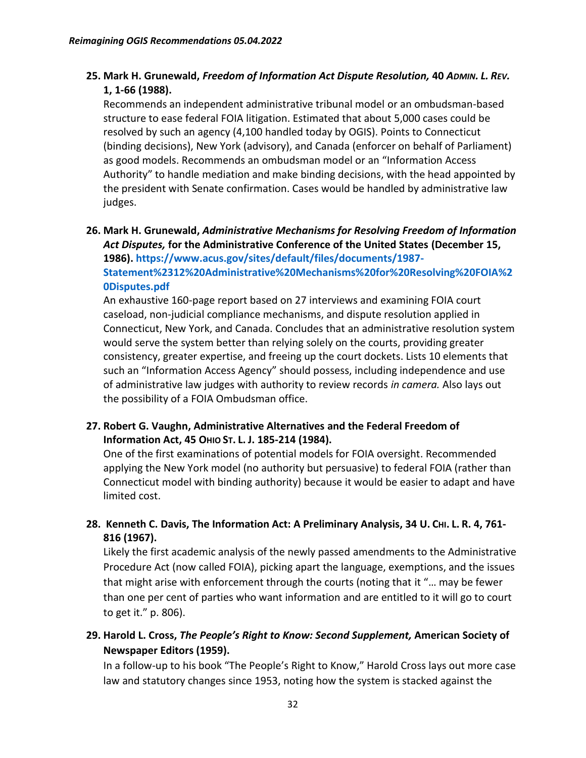#### **25. Mark H. Grunewald,** *Freedom of Information Act Dispute Resolution,* **40** *ADMIN. L. REV.* **1, 1-66 (1988).**

Recommends an independent administrative tribunal model or an ombudsman-based structure to ease federal FOIA litigation. Estimated that about 5,000 cases could be resolved by such an agency (4,100 handled today by OGIS). Points to Connecticut (binding decisions), New York (advisory), and Canada (enforcer on behalf of Parliament) as good models. Recommends an ombudsman model or an "Information Access Authority" to handle mediation and make binding decisions, with the head appointed by the president with Senate confirmation. Cases would be handled by administrative law judges.

**26. Mark H. Grunewald,** *Administrative Mechanisms for Resolving Freedom of Information Act Disputes,* **for the Administrative Conference of the United States (December 15, 1986). [https://www.acus.gov/sites/default/files/documents/1987-](https://www.acus.gov/sites/default/files/documents/1987-Statement%2312%20Administrative%20Mechanisms%20for%20Resolving%20FOIA%20Disputes.pdf) [Statement%2312%20Administrative%20Mechanisms%20for%20Resolving%20FOIA%2](https://www.acus.gov/sites/default/files/documents/1987-Statement%2312%20Administrative%20Mechanisms%20for%20Resolving%20FOIA%20Disputes.pdf) [0Disputes.pdf](https://www.acus.gov/sites/default/files/documents/1987-Statement%2312%20Administrative%20Mechanisms%20for%20Resolving%20FOIA%20Disputes.pdf)**

An exhaustive 160-page report based on 27 interviews and examining FOIA court caseload, non-judicial compliance mechanisms, and dispute resolution applied in Connecticut, New York, and Canada. Concludes that an administrative resolution system would serve the system better than relying solely on the courts, providing greater consistency, greater expertise, and freeing up the court dockets. Lists 10 elements that such an "Information Access Agency" should possess, including independence and use of administrative law judges with authority to review records *in camera.* Also lays out the possibility of a FOIA Ombudsman office.

#### **27. Robert G. Vaughn, Administrative Alternatives and the Federal Freedom of Information Act, 45 OHIO ST. L. J. 185-214 (1984).**

One of the first examinations of potential models for FOIA oversight. Recommended applying the New York model (no authority but persuasive) to federal FOIA (rather than Connecticut model with binding authority) because it would be easier to adapt and have limited cost.

#### **28. Kenneth C. Davis, The Information Act: A Preliminary Analysis, 34 U. CHI. L. R. 4, 761- 816 (1967).**

Likely the first academic analysis of the newly passed amendments to the Administrative Procedure Act (now called FOIA), picking apart the language, exemptions, and the issues that might arise with enforcement through the courts (noting that it "… may be fewer than one per cent of parties who want information and are entitled to it will go to court to get it." p. 806).

### **29. Harold L. Cross,** *The People's Right to Know: Second Supplement,* **American Society of Newspaper Editors (1959).**

In a follow-up to his book "The People's Right to Know," Harold Cross lays out more case law and statutory changes since 1953, noting how the system is stacked against the